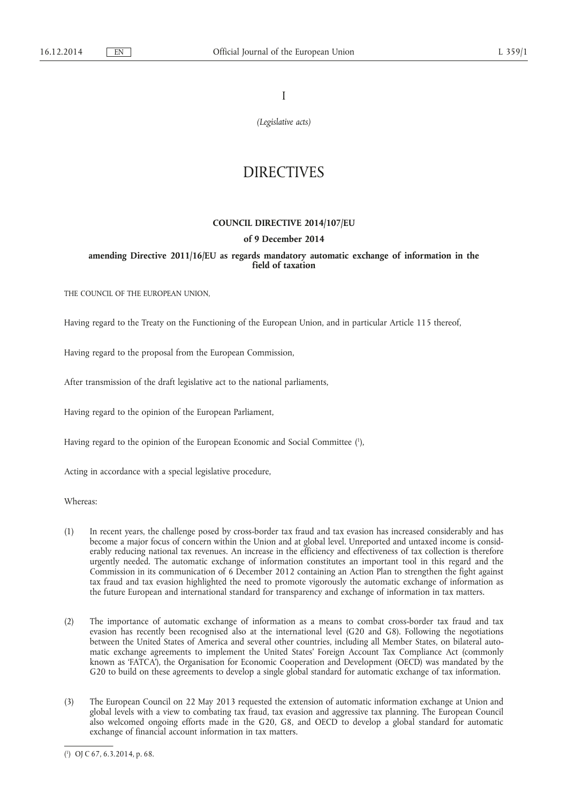I

*(Legislative acts)* 

# **DIRECTIVES**

## **COUNCIL DIRECTIVE 2014/107/EU**

#### **of 9 December 2014**

**amending Directive 2011/16/EU as regards mandatory automatic exchange of information in the field of taxation** 

THE COUNCIL OF THE EUROPEAN UNION,

Having regard to the Treaty on the Functioning of the European Union, and in particular Article 115 thereof,

Having regard to the proposal from the European Commission,

After transmission of the draft legislative act to the national parliaments,

Having regard to the opinion of the European Parliament,

Having regard to the opinion of the European Economic and Social Committee ( 1 ),

Acting in accordance with a special legislative procedure,

Whereas:

- (1) In recent years, the challenge posed by cross-border tax fraud and tax evasion has increased considerably and has become a major focus of concern within the Union and at global level. Unreported and untaxed income is considerably reducing national tax revenues. An increase in the efficiency and effectiveness of tax collection is therefore urgently needed. The automatic exchange of information constitutes an important tool in this regard and the Commission in its communication of 6 December 2012 containing an Action Plan to strengthen the fight against tax fraud and tax evasion highlighted the need to promote vigorously the automatic exchange of information as the future European and international standard for transparency and exchange of information in tax matters.
- (2) The importance of automatic exchange of information as a means to combat cross-border tax fraud and tax evasion has recently been recognised also at the international level (G20 and G8). Following the negotiations between the United States of America and several other countries, including all Member States, on bilateral automatic exchange agreements to implement the United States' Foreign Account Tax Compliance Act (commonly known as 'FATCA'), the Organisation for Economic Cooperation and Development (OECD) was mandated by the G20 to build on these agreements to develop a single global standard for automatic exchange of tax information.
- (3) The European Council on 22 May 2013 requested the extension of automatic information exchange at Union and global levels with a view to combating tax fraud, tax evasion and aggressive tax planning. The European Council also welcomed ongoing efforts made in the G20, G8, and OECD to develop a global standard for automatic exchange of financial account information in tax matters.

<sup>(</sup> 1 ) OJ C 67, 6.3.2014, p. 68.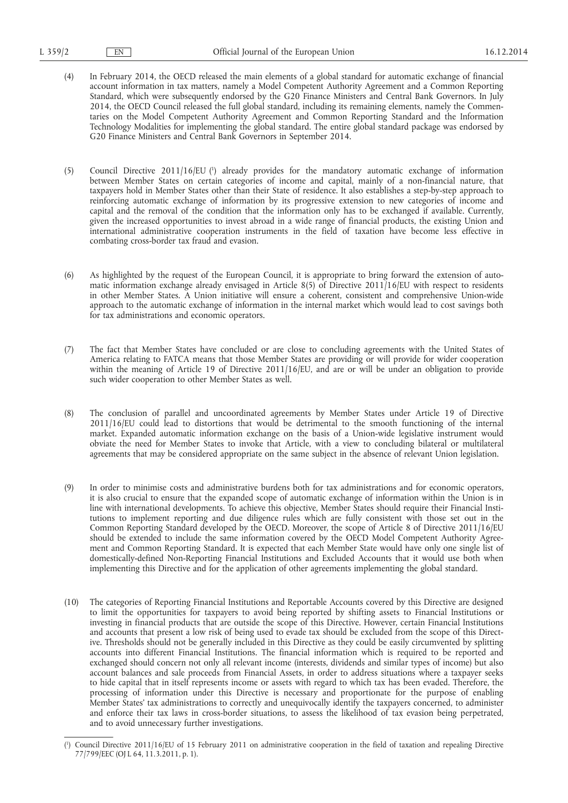- (4) In February 2014, the OECD released the main elements of a global standard for automatic exchange of financial account information in tax matters, namely a Model Competent Authority Agreement and a Common Reporting Standard, which were subsequently endorsed by the G20 Finance Ministers and Central Bank Governors. In July 2014, the OECD Council released the full global standard, including its remaining elements, namely the Commentaries on the Model Competent Authority Agreement and Common Reporting Standard and the Information Technology Modalities for implementing the global standard. The entire global standard package was endorsed by G20 Finance Ministers and Central Bank Governors in September 2014.
- (5) Council Directive 2011/16/EU ( 1 ) already provides for the mandatory automatic exchange of information between Member States on certain categories of income and capital, mainly of a non-financial nature, that taxpayers hold in Member States other than their State of residence. It also establishes a step-by-step approach to reinforcing automatic exchange of information by its progressive extension to new categories of income and capital and the removal of the condition that the information only has to be exchanged if available. Currently, given the increased opportunities to invest abroad in a wide range of financial products, the existing Union and international administrative cooperation instruments in the field of taxation have become less effective in combating cross-border tax fraud and evasion.
- (6) As highlighted by the request of the European Council, it is appropriate to bring forward the extension of automatic information exchange already envisaged in Article 8(5) of Directive 2011/16/EU with respect to residents in other Member States. A Union initiative will ensure a coherent, consistent and comprehensive Union-wide approach to the automatic exchange of information in the internal market which would lead to cost savings both for tax administrations and economic operators.
- (7) The fact that Member States have concluded or are close to concluding agreements with the United States of America relating to FATCA means that those Member States are providing or will provide for wider cooperation within the meaning of Article 19 of Directive 2011/16/EU, and are or will be under an obligation to provide such wider cooperation to other Member States as well.
- (8) The conclusion of parallel and uncoordinated agreements by Member States under Article 19 of Directive 2011/16/EU could lead to distortions that would be detrimental to the smooth functioning of the internal market. Expanded automatic information exchange on the basis of a Union-wide legislative instrument would obviate the need for Member States to invoke that Article, with a view to concluding bilateral or multilateral agreements that may be considered appropriate on the same subject in the absence of relevant Union legislation.
- (9) In order to minimise costs and administrative burdens both for tax administrations and for economic operators, it is also crucial to ensure that the expanded scope of automatic exchange of information within the Union is in line with international developments. To achieve this objective, Member States should require their Financial Institutions to implement reporting and due diligence rules which are fully consistent with those set out in the Common Reporting Standard developed by the OECD. Moreover, the scope of Article 8 of Directive 2011/16/EU should be extended to include the same information covered by the OECD Model Competent Authority Agreement and Common Reporting Standard. It is expected that each Member State would have only one single list of domestically-defined Non-Reporting Financial Institutions and Excluded Accounts that it would use both when implementing this Directive and for the application of other agreements implementing the global standard.
- (10) The categories of Reporting Financial Institutions and Reportable Accounts covered by this Directive are designed to limit the opportunities for taxpayers to avoid being reported by shifting assets to Financial Institutions or investing in financial products that are outside the scope of this Directive. However, certain Financial Institutions and accounts that present a low risk of being used to evade tax should be excluded from the scope of this Directive. Thresholds should not be generally included in this Directive as they could be easily circumvented by splitting accounts into different Financial Institutions. The financial information which is required to be reported and exchanged should concern not only all relevant income (interests, dividends and similar types of income) but also account balances and sale proceeds from Financial Assets, in order to address situations where a taxpayer seeks to hide capital that in itself represents income or assets with regard to which tax has been evaded. Therefore, the processing of information under this Directive is necessary and proportionate for the purpose of enabling Member States' tax administrations to correctly and unequivocally identify the taxpayers concerned, to administer and enforce their tax laws in cross-border situations, to assess the likelihood of tax evasion being perpetrated, and to avoid unnecessary further investigations.

<sup>(</sup> 1 ) Council Directive 2011/16/EU of 15 February 2011 on administrative cooperation in the field of taxation and repealing Directive 77/799/EEC (OJ L 64, 11.3.2011, p. 1).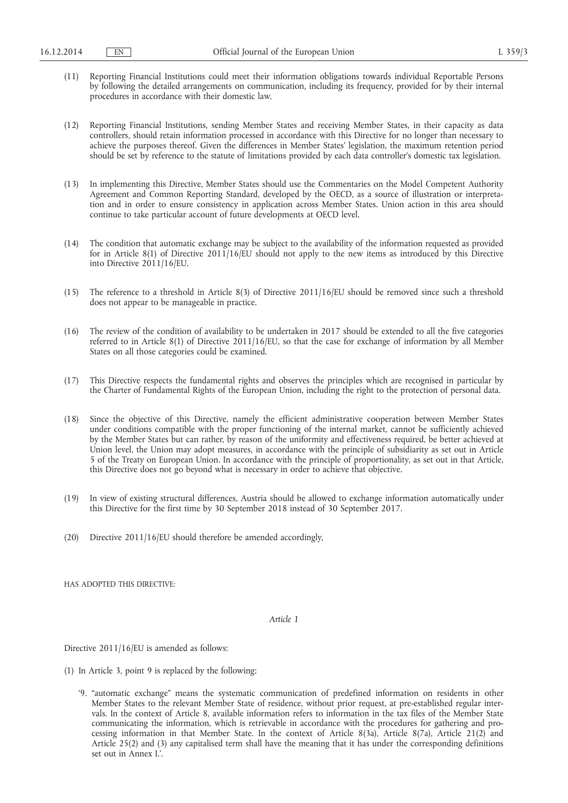- (11) Reporting Financial Institutions could meet their information obligations towards individual Reportable Persons by following the detailed arrangements on communication, including its frequency, provided for by their internal procedures in accordance with their domestic law.
- (12) Reporting Financial Institutions, sending Member States and receiving Member States, in their capacity as data controllers, should retain information processed in accordance with this Directive for no longer than necessary to achieve the purposes thereof. Given the differences in Member States' legislation, the maximum retention period should be set by reference to the statute of limitations provided by each data controller's domestic tax legislation.
- (13) In implementing this Directive, Member States should use the Commentaries on the Model Competent Authority Agreement and Common Reporting Standard, developed by the OECD, as a source of illustration or interpretation and in order to ensure consistency in application across Member States. Union action in this area should continue to take particular account of future developments at OECD level.
- (14) The condition that automatic exchange may be subject to the availability of the information requested as provided for in Article 8(1) of Directive 2011/16/EU should not apply to the new items as introduced by this Directive into Directive 2011/16/EU.
- (15) The reference to a threshold in Article 8(3) of Directive 2011/16/EU should be removed since such a threshold does not appear to be manageable in practice.
- (16) The review of the condition of availability to be undertaken in 2017 should be extended to all the five categories referred to in Article 8(1) of Directive 2011/16/EU, so that the case for exchange of information by all Member States on all those categories could be examined.
- (17) This Directive respects the fundamental rights and observes the principles which are recognised in particular by the Charter of Fundamental Rights of the European Union, including the right to the protection of personal data.
- (18) Since the objective of this Directive, namely the efficient administrative cooperation between Member States under conditions compatible with the proper functioning of the internal market, cannot be sufficiently achieved by the Member States but can rather, by reason of the uniformity and effectiveness required, be better achieved at Union level, the Union may adopt measures, in accordance with the principle of subsidiarity as set out in Article 5 of the Treaty on European Union. In accordance with the principle of proportionality, as set out in that Article, this Directive does not go beyond what is necessary in order to achieve that objective.
- (19) In view of existing structural differences, Austria should be allowed to exchange information automatically under this Directive for the first time by 30 September 2018 instead of 30 September 2017.
- (20) Directive 2011/16/EU should therefore be amended accordingly,

HAS ADOPTED THIS DIRECTIVE:

*Article 1* 

Directive 2011/16/EU is amended as follows:

- (1) In Article 3, point 9 is replaced by the following:
	- '9. "automatic exchange" means the systematic communication of predefined information on residents in other Member States to the relevant Member State of residence, without prior request, at pre-established regular intervals. In the context of Article 8, available information refers to information in the tax files of the Member State communicating the information, which is retrievable in accordance with the procedures for gathering and processing information in that Member State. In the context of Article 8(3a), Article 8(7a), Article 21(2) and Article 25(2) and (3) any capitalised term shall have the meaning that it has under the corresponding definitions set out in Annex I.'.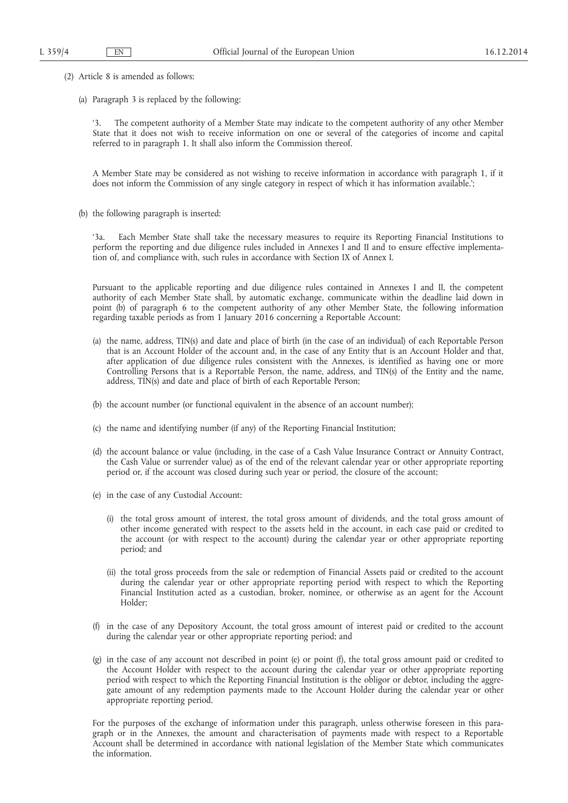(2) Article 8 is amended as follows:

(a) Paragraph 3 is replaced by the following:

The competent authority of a Member State may indicate to the competent authority of any other Member State that it does not wish to receive information on one or several of the categories of income and capital referred to in paragraph 1. It shall also inform the Commission thereof.

A Member State may be considered as not wishing to receive information in accordance with paragraph 1, if it does not inform the Commission of any single category in respect of which it has information available.';

(b) the following paragraph is inserted:

'3a. Each Member State shall take the necessary measures to require its Reporting Financial Institutions to perform the reporting and due diligence rules included in Annexes I and II and to ensure effective implementation of, and compliance with, such rules in accordance with Section IX of Annex I.

Pursuant to the applicable reporting and due diligence rules contained in Annexes I and II, the competent authority of each Member State shall, by automatic exchange, communicate within the deadline laid down in point (b) of paragraph 6 to the competent authority of any other Member State, the following information regarding taxable periods as from 1 January 2016 concerning a Reportable Account:

- (a) the name, address, TIN(s) and date and place of birth (in the case of an individual) of each Reportable Person that is an Account Holder of the account and, in the case of any Entity that is an Account Holder and that, after application of due diligence rules consistent with the Annexes, is identified as having one or more Controlling Persons that is a Reportable Person, the name, address, and TIN(s) of the Entity and the name, address, TIN(s) and date and place of birth of each Reportable Person;
- (b) the account number (or functional equivalent in the absence of an account number);
- (c) the name and identifying number (if any) of the Reporting Financial Institution;
- (d) the account balance or value (including, in the case of a Cash Value Insurance Contract or Annuity Contract, the Cash Value or surrender value) as of the end of the relevant calendar year or other appropriate reporting period or, if the account was closed during such year or period, the closure of the account;
- (e) in the case of any Custodial Account:
	- (i) the total gross amount of interest, the total gross amount of dividends, and the total gross amount of other income generated with respect to the assets held in the account, in each case paid or credited to the account (or with respect to the account) during the calendar year or other appropriate reporting period; and
	- (ii) the total gross proceeds from the sale or redemption of Financial Assets paid or credited to the account during the calendar year or other appropriate reporting period with respect to which the Reporting Financial Institution acted as a custodian, broker, nominee, or otherwise as an agent for the Account Holder;
- (f) in the case of any Depository Account, the total gross amount of interest paid or credited to the account during the calendar year or other appropriate reporting period; and
- (g) in the case of any account not described in point (e) or point (f), the total gross amount paid or credited to the Account Holder with respect to the account during the calendar year or other appropriate reporting period with respect to which the Reporting Financial Institution is the obligor or debtor, including the aggregate amount of any redemption payments made to the Account Holder during the calendar year or other appropriate reporting period.

For the purposes of the exchange of information under this paragraph, unless otherwise foreseen in this paragraph or in the Annexes, the amount and characterisation of payments made with respect to a Reportable Account shall be determined in accordance with national legislation of the Member State which communicates the information.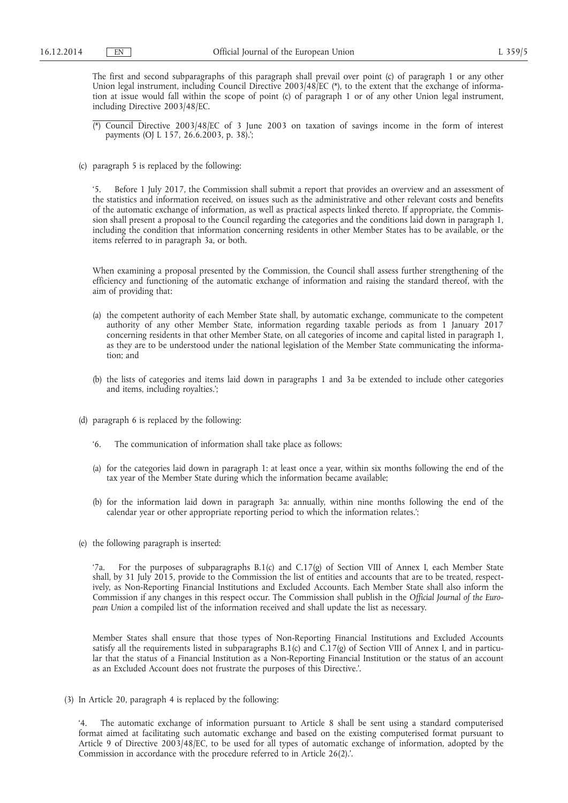The first and second subparagraphs of this paragraph shall prevail over point (c) of paragraph 1 or any other Union legal instrument, including Council Directive 2003/48/EC (\*), to the extent that the exchange of information at issue would fall within the scope of point (c) of paragraph 1 or of any other Union legal instrument, including Directive 2003/48/EC.

- $^{(*)}$  Council Directive 2003/48/EC of 3 June 2003 on taxation of savings income in the form of interest payments (OJ L 157, 26.6.2003, p. 38).';
- (c) paragraph 5 is replaced by the following:

Before 1 July 2017, the Commission shall submit a report that provides an overview and an assessment of the statistics and information received, on issues such as the administrative and other relevant costs and benefits of the automatic exchange of information, as well as practical aspects linked thereto. If appropriate, the Commission shall present a proposal to the Council regarding the categories and the conditions laid down in paragraph 1, including the condition that information concerning residents in other Member States has to be available, or the items referred to in paragraph 3a, or both.

When examining a proposal presented by the Commission, the Council shall assess further strengthening of the efficiency and functioning of the automatic exchange of information and raising the standard thereof, with the aim of providing that:

- (a) the competent authority of each Member State shall, by automatic exchange, communicate to the competent authority of any other Member State, information regarding taxable periods as from 1 January 2017 concerning residents in that other Member State, on all categories of income and capital listed in paragraph 1, as they are to be understood under the national legislation of the Member State communicating the information; and
- (b) the lists of categories and items laid down in paragraphs 1 and 3a be extended to include other categories and items, including royalties.';
- (d) paragraph 6 is replaced by the following:
	- '6. The communication of information shall take place as follows:
	- (a) for the categories laid down in paragraph 1: at least once a year, within six months following the end of the tax year of the Member State during which the information became available;
	- (b) for the information laid down in paragraph 3a: annually, within nine months following the end of the calendar year or other appropriate reporting period to which the information relates.';
- (e) the following paragraph is inserted:

'7a. For the purposes of subparagraphs B.1(c) and C.17(g) of Section VIII of Annex I, each Member State shall, by 31 July 2015, provide to the Commission the list of entities and accounts that are to be treated, respectively, as Non-Reporting Financial Institutions and Excluded Accounts. Each Member State shall also inform the Commission if any changes in this respect occur. The Commission shall publish in the *Official Journal of the European Union* a compiled list of the information received and shall update the list as necessary.

Member States shall ensure that those types of Non-Reporting Financial Institutions and Excluded Accounts satisfy all the requirements listed in subparagraphs B.1(c) and C.17(g) of Section VIII of Annex I, and in particular that the status of a Financial Institution as a Non-Reporting Financial Institution or the status of an account as an Excluded Account does not frustrate the purposes of this Directive.'.

(3) In Article 20, paragraph 4 is replaced by the following:

'4. The automatic exchange of information pursuant to Article 8 shall be sent using a standard computerised format aimed at facilitating such automatic exchange and based on the existing computerised format pursuant to Article 9 of Directive 2003/48/EC, to be used for all types of automatic exchange of information, adopted by the Commission in accordance with the procedure referred to in Article 26(2).'.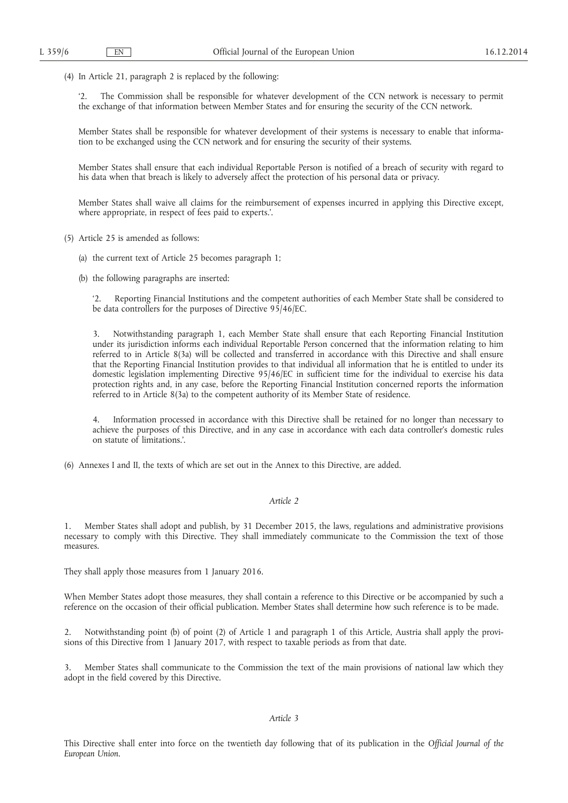(4) In Article 21, paragraph 2 is replaced by the following:

The Commission shall be responsible for whatever development of the CCN network is necessary to permit the exchange of that information between Member States and for ensuring the security of the CCN network.

Member States shall be responsible for whatever development of their systems is necessary to enable that information to be exchanged using the CCN network and for ensuring the security of their systems.

Member States shall ensure that each individual Reportable Person is notified of a breach of security with regard to his data when that breach is likely to adversely affect the protection of his personal data or privacy.

Member States shall waive all claims for the reimbursement of expenses incurred in applying this Directive except, where appropriate, in respect of fees paid to experts.'.

(5) Article 25 is amended as follows:

- (a) the current text of Article 25 becomes paragraph 1;
- (b) the following paragraphs are inserted:

'2. Reporting Financial Institutions and the competent authorities of each Member State shall be considered to be data controllers for the purposes of Directive 95/46/EC.

3. Notwithstanding paragraph 1, each Member State shall ensure that each Reporting Financial Institution under its jurisdiction informs each individual Reportable Person concerned that the information relating to him referred to in Article 8(3a) will be collected and transferred in accordance with this Directive and shall ensure that the Reporting Financial Institution provides to that individual all information that he is entitled to under its domestic legislation implementing Directive 95/46/EC in sufficient time for the individual to exercise his data protection rights and, in any case, before the Reporting Financial Institution concerned reports the information referred to in Article 8(3a) to the competent authority of its Member State of residence.

4. Information processed in accordance with this Directive shall be retained for no longer than necessary to achieve the purposes of this Directive, and in any case in accordance with each data controller's domestic rules on statute of limitations.'.

(6) Annexes I and II, the texts of which are set out in the Annex to this Directive, are added.

# *Article 2*

1. Member States shall adopt and publish, by 31 December 2015, the laws, regulations and administrative provisions necessary to comply with this Directive. They shall immediately communicate to the Commission the text of those measures.

They shall apply those measures from 1 January 2016.

When Member States adopt those measures, they shall contain a reference to this Directive or be accompanied by such a reference on the occasion of their official publication. Member States shall determine how such reference is to be made.

2. Notwithstanding point (b) of point (2) of Article 1 and paragraph 1 of this Article, Austria shall apply the provisions of this Directive from 1 January 2017, with respect to taxable periods as from that date.

3. Member States shall communicate to the Commission the text of the main provisions of national law which they adopt in the field covered by this Directive.

# *Article 3*

This Directive shall enter into force on the twentieth day following that of its publication in the *Official Journal of the European Union*.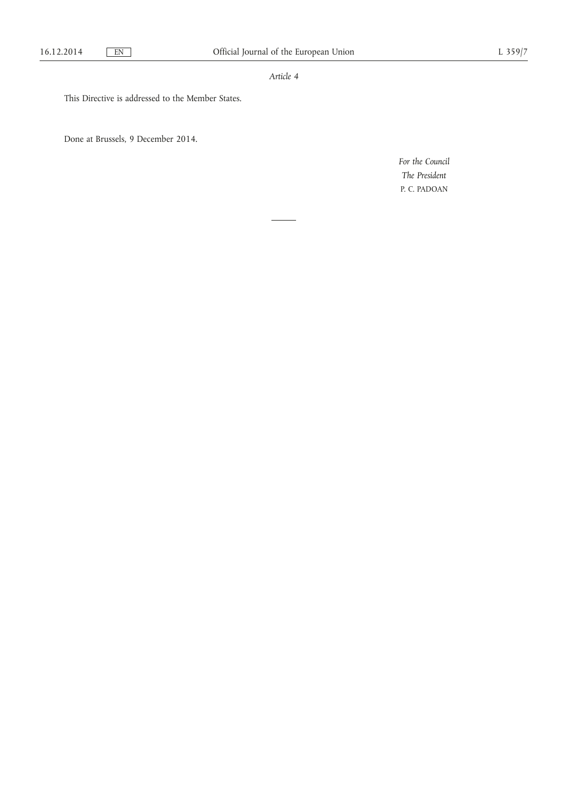# *Article 4*

This Directive is addressed to the Member States.

Done at Brussels, 9 December 2014.

*For the Council The President*  P. C. PADOAN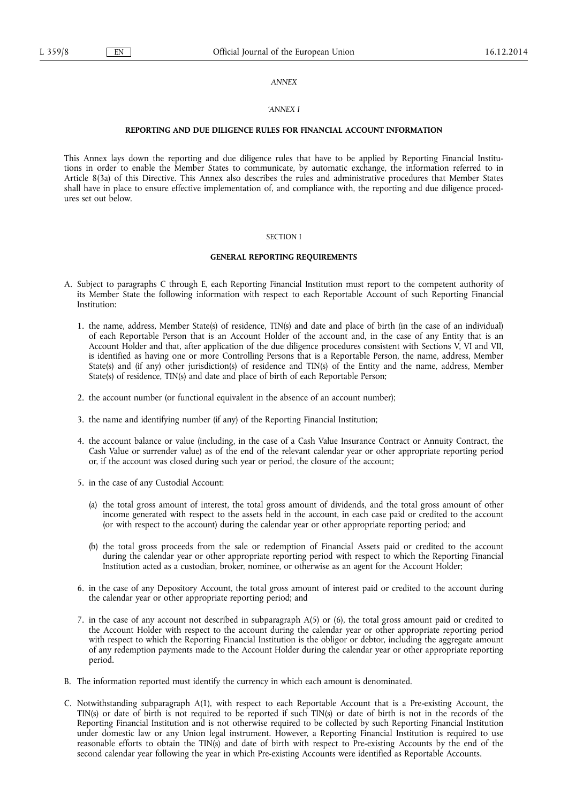#### *ANNEX*

### *'ANNEX I*

#### **REPORTING AND DUE DILIGENCE RULES FOR FINANCIAL ACCOUNT INFORMATION**

This Annex lays down the reporting and due diligence rules that have to be applied by Reporting Financial Institutions in order to enable the Member States to communicate, by automatic exchange, the information referred to in Article 8(3a) of this Directive. This Annex also describes the rules and administrative procedures that Member States shall have in place to ensure effective implementation of, and compliance with, the reporting and due diligence procedures set out below.

#### SECTION I

# **GENERAL REPORTING REQUIREMENTS**

- A. Subject to paragraphs C through E, each Reporting Financial Institution must report to the competent authority of its Member State the following information with respect to each Reportable Account of such Reporting Financial Institution:
	- 1. the name, address, Member State(s) of residence, TIN(s) and date and place of birth (in the case of an individual) of each Reportable Person that is an Account Holder of the account and, in the case of any Entity that is an Account Holder and that, after application of the due diligence procedures consistent with Sections V, VI and VII, is identified as having one or more Controlling Persons that is a Reportable Person, the name, address, Member State(s) and (if any) other jurisdiction(s) of residence and TIN(s) of the Entity and the name, address, Member State(s) of residence, TIN(s) and date and place of birth of each Reportable Person;
	- 2. the account number (or functional equivalent in the absence of an account number);
	- 3. the name and identifying number (if any) of the Reporting Financial Institution;
	- 4. the account balance or value (including, in the case of a Cash Value Insurance Contract or Annuity Contract, the Cash Value or surrender value) as of the end of the relevant calendar year or other appropriate reporting period or, if the account was closed during such year or period, the closure of the account;
	- 5. in the case of any Custodial Account:
		- (a) the total gross amount of interest, the total gross amount of dividends, and the total gross amount of other income generated with respect to the assets held in the account, in each case paid or credited to the account (or with respect to the account) during the calendar year or other appropriate reporting period; and
		- (b) the total gross proceeds from the sale or redemption of Financial Assets paid or credited to the account during the calendar year or other appropriate reporting period with respect to which the Reporting Financial Institution acted as a custodian, broker, nominee, or otherwise as an agent for the Account Holder;
	- 6. in the case of any Depository Account, the total gross amount of interest paid or credited to the account during the calendar year or other appropriate reporting period; and
	- 7. in the case of any account not described in subparagraph A(5) or (6), the total gross amount paid or credited to the Account Holder with respect to the account during the calendar year or other appropriate reporting period with respect to which the Reporting Financial Institution is the obligor or debtor, including the aggregate amount of any redemption payments made to the Account Holder during the calendar year or other appropriate reporting period.
- B. The information reported must identify the currency in which each amount is denominated.
- C. Notwithstanding subparagraph A(1), with respect to each Reportable Account that is a Pre-existing Account, the TIN(s) or date of birth is not required to be reported if such TIN(s) or date of birth is not in the records of the Reporting Financial Institution and is not otherwise required to be collected by such Reporting Financial Institution under domestic law or any Union legal instrument. However, a Reporting Financial Institution is required to use reasonable efforts to obtain the TIN(s) and date of birth with respect to Pre-existing Accounts by the end of the second calendar year following the year in which Pre-existing Accounts were identified as Reportable Accounts.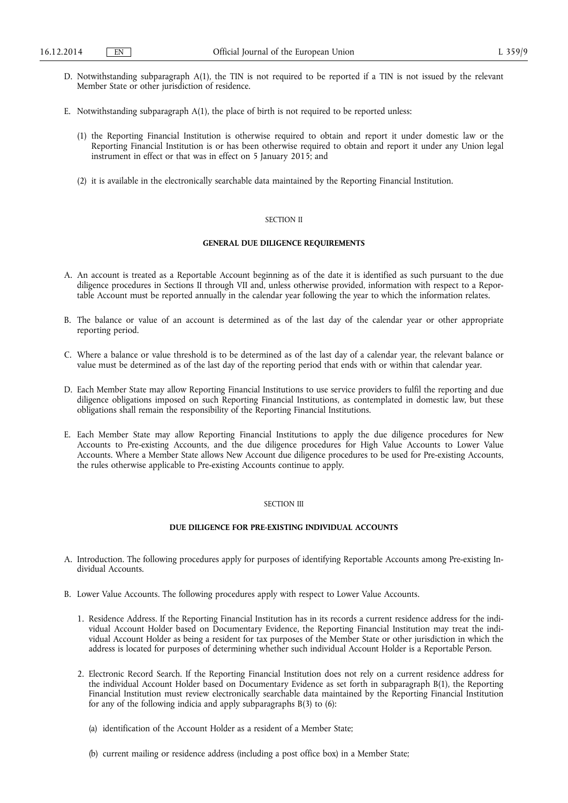- D. Notwithstanding subparagraph A(1), the TIN is not required to be reported if a TIN is not issued by the relevant Member State or other jurisdiction of residence.
- E. Notwithstanding subparagraph  $A(1)$ , the place of birth is not required to be reported unless:
	- (1) the Reporting Financial Institution is otherwise required to obtain and report it under domestic law or the Reporting Financial Institution is or has been otherwise required to obtain and report it under any Union legal instrument in effect or that was in effect on 5 January 2015; and
	- (2) it is available in the electronically searchable data maintained by the Reporting Financial Institution.

#### SECTION II

#### **GENERAL DUE DILIGENCE REQUIREMENTS**

- A. An account is treated as a Reportable Account beginning as of the date it is identified as such pursuant to the due diligence procedures in Sections II through VII and, unless otherwise provided, information with respect to a Reportable Account must be reported annually in the calendar year following the year to which the information relates.
- B. The balance or value of an account is determined as of the last day of the calendar year or other appropriate reporting period.
- C. Where a balance or value threshold is to be determined as of the last day of a calendar year, the relevant balance or value must be determined as of the last day of the reporting period that ends with or within that calendar year.
- D. Each Member State may allow Reporting Financial Institutions to use service providers to fulfil the reporting and due diligence obligations imposed on such Reporting Financial Institutions, as contemplated in domestic law, but these obligations shall remain the responsibility of the Reporting Financial Institutions.
- E. Each Member State may allow Reporting Financial Institutions to apply the due diligence procedures for New Accounts to Pre-existing Accounts, and the due diligence procedures for High Value Accounts to Lower Value Accounts. Where a Member State allows New Account due diligence procedures to be used for Pre-existing Accounts, the rules otherwise applicable to Pre-existing Accounts continue to apply.

#### SECTION III

# **DUE DILIGENCE FOR PRE-EXISTING INDIVIDUAL ACCOUNTS**

- A. Introduction. The following procedures apply for purposes of identifying Reportable Accounts among Pre-existing Individual Accounts.
- B. Lower Value Accounts. The following procedures apply with respect to Lower Value Accounts.
	- 1. Residence Address. If the Reporting Financial Institution has in its records a current residence address for the individual Account Holder based on Documentary Evidence, the Reporting Financial Institution may treat the individual Account Holder as being a resident for tax purposes of the Member State or other jurisdiction in which the address is located for purposes of determining whether such individual Account Holder is a Reportable Person.
	- 2. Electronic Record Search. If the Reporting Financial Institution does not rely on a current residence address for the individual Account Holder based on Documentary Evidence as set forth in subparagraph B(1), the Reporting Financial Institution must review electronically searchable data maintained by the Reporting Financial Institution for any of the following indicia and apply subparagraphs B(3) to (6):
		- (a) identification of the Account Holder as a resident of a Member State;
		- (b) current mailing or residence address (including a post office box) in a Member State;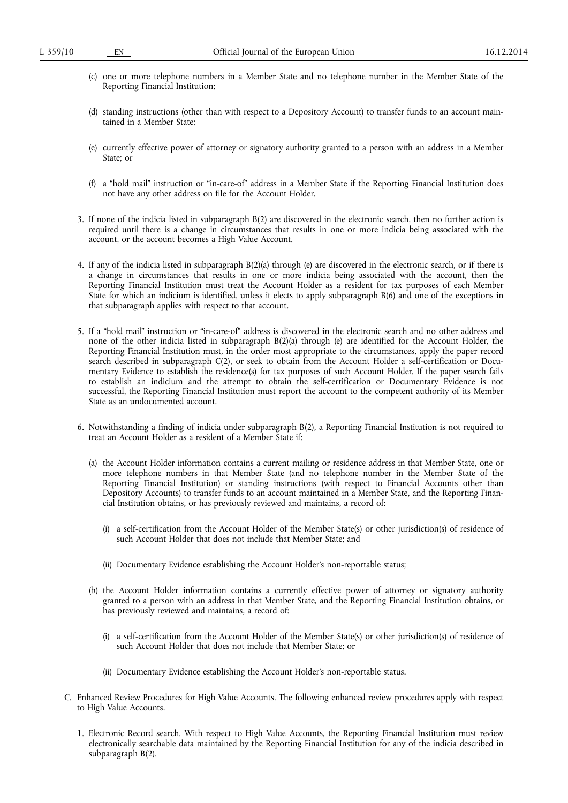- (c) one or more telephone numbers in a Member State and no telephone number in the Member State of the Reporting Financial Institution;
- (d) standing instructions (other than with respect to a Depository Account) to transfer funds to an account maintained in a Member State;
- (e) currently effective power of attorney or signatory authority granted to a person with an address in a Member State; or
- (f) a "hold mail" instruction or "in-care-of" address in a Member State if the Reporting Financial Institution does not have any other address on file for the Account Holder.
- 3. If none of the indicia listed in subparagraph B(2) are discovered in the electronic search, then no further action is required until there is a change in circumstances that results in one or more indicia being associated with the account, or the account becomes a High Value Account.
- 4. If any of the indicia listed in subparagraph B(2)(a) through (e) are discovered in the electronic search, or if there is a change in circumstances that results in one or more indicia being associated with the account, then the Reporting Financial Institution must treat the Account Holder as a resident for tax purposes of each Member State for which an indicium is identified, unless it elects to apply subparagraph B(6) and one of the exceptions in that subparagraph applies with respect to that account.
- 5. If a "hold mail" instruction or "in-care-of" address is discovered in the electronic search and no other address and none of the other indicia listed in subparagraph B(2)(a) through (e) are identified for the Account Holder, the Reporting Financial Institution must, in the order most appropriate to the circumstances, apply the paper record search described in subparagraph C(2), or seek to obtain from the Account Holder a self-certification or Documentary Evidence to establish the residence(s) for tax purposes of such Account Holder. If the paper search fails to establish an indicium and the attempt to obtain the self-certification or Documentary Evidence is not successful, the Reporting Financial Institution must report the account to the competent authority of its Member State as an undocumented account.
- 6. Notwithstanding a finding of indicia under subparagraph B(2), a Reporting Financial Institution is not required to treat an Account Holder as a resident of a Member State if:
	- (a) the Account Holder information contains a current mailing or residence address in that Member State, one or more telephone numbers in that Member State (and no telephone number in the Member State of the Reporting Financial Institution) or standing instructions (with respect to Financial Accounts other than Depository Accounts) to transfer funds to an account maintained in a Member State, and the Reporting Financial Institution obtains, or has previously reviewed and maintains, a record of:
		- (i) a self-certification from the Account Holder of the Member State(s) or other jurisdiction(s) of residence of such Account Holder that does not include that Member State; and
		- (ii) Documentary Evidence establishing the Account Holder's non-reportable status;
	- (b) the Account Holder information contains a currently effective power of attorney or signatory authority granted to a person with an address in that Member State, and the Reporting Financial Institution obtains, or has previously reviewed and maintains, a record of:
		- (i) a self-certification from the Account Holder of the Member State(s) or other jurisdiction(s) of residence of such Account Holder that does not include that Member State; or
		- (ii) Documentary Evidence establishing the Account Holder's non-reportable status.
- C. Enhanced Review Procedures for High Value Accounts. The following enhanced review procedures apply with respect to High Value Accounts.
	- 1. Electronic Record search. With respect to High Value Accounts, the Reporting Financial Institution must review electronically searchable data maintained by the Reporting Financial Institution for any of the indicia described in subparagraph B(2).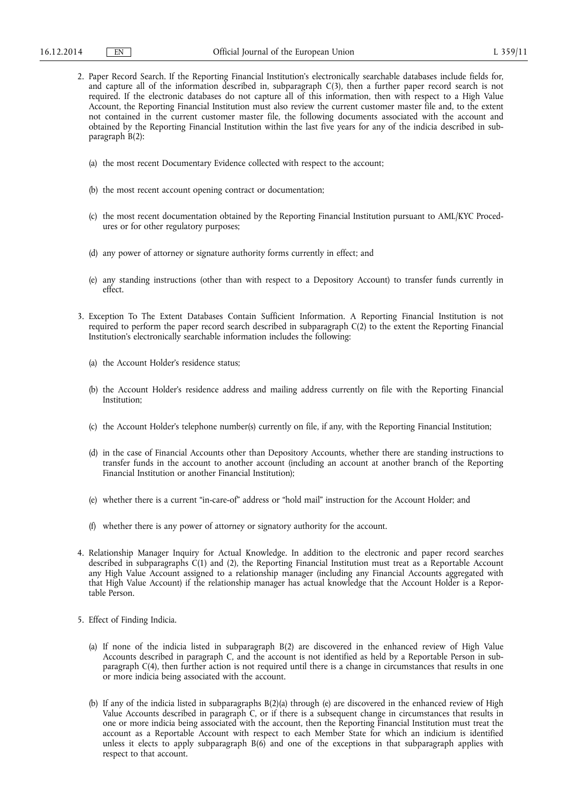- 2. Paper Record Search. If the Reporting Financial Institution's electronically searchable databases include fields for, and capture all of the information described in, subparagraph C(3), then a further paper record search is not required. If the electronic databases do not capture all of this information, then with respect to a High Value Account, the Reporting Financial Institution must also review the current customer master file and, to the extent not contained in the current customer master file, the following documents associated with the account and obtained by the Reporting Financial Institution within the last five years for any of the indicia described in subparagraph B(2):
	- (a) the most recent Documentary Evidence collected with respect to the account;
	- (b) the most recent account opening contract or documentation;
	- (c) the most recent documentation obtained by the Reporting Financial Institution pursuant to AML/KYC Procedures or for other regulatory purposes;
	- (d) any power of attorney or signature authority forms currently in effect; and
	- (e) any standing instructions (other than with respect to a Depository Account) to transfer funds currently in effect.
- 3. Exception To The Extent Databases Contain Sufficient Information. A Reporting Financial Institution is not required to perform the paper record search described in subparagraph C(2) to the extent the Reporting Financial Institution's electronically searchable information includes the following:
	- (a) the Account Holder's residence status;
	- (b) the Account Holder's residence address and mailing address currently on file with the Reporting Financial Institution;
	- (c) the Account Holder's telephone number(s) currently on file, if any, with the Reporting Financial Institution;
	- (d) in the case of Financial Accounts other than Depository Accounts, whether there are standing instructions to transfer funds in the account to another account (including an account at another branch of the Reporting Financial Institution or another Financial Institution);
	- (e) whether there is a current "in-care-of" address or "hold mail" instruction for the Account Holder; and
	- (f) whether there is any power of attorney or signatory authority for the account.
- 4. Relationship Manager Inquiry for Actual Knowledge. In addition to the electronic and paper record searches described in subparagraphs C(1) and (2), the Reporting Financial Institution must treat as a Reportable Account any High Value Account assigned to a relationship manager (including any Financial Accounts aggregated with that High Value Account) if the relationship manager has actual knowledge that the Account Holder is a Reportable Person.
- 5. Effect of Finding Indicia.
	- (a) If none of the indicia listed in subparagraph B(2) are discovered in the enhanced review of High Value Accounts described in paragraph C, and the account is not identified as held by a Reportable Person in subparagraph C(4), then further action is not required until there is a change in circumstances that results in one or more indicia being associated with the account.
	- (b) If any of the indicia listed in subparagraphs B(2)(a) through (e) are discovered in the enhanced review of High Value Accounts described in paragraph C, or if there is a subsequent change in circumstances that results in one or more indicia being associated with the account, then the Reporting Financial Institution must treat the account as a Reportable Account with respect to each Member State for which an indicium is identified unless it elects to apply subparagraph B(6) and one of the exceptions in that subparagraph applies with respect to that account.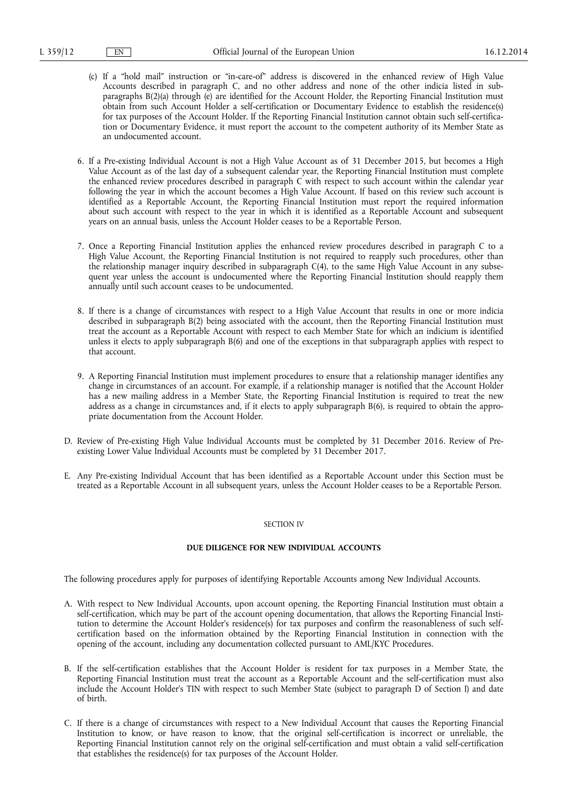- (c) If a "hold mail" instruction or "in-care-of" address is discovered in the enhanced review of High Value Accounts described in paragraph C, and no other address and none of the other indicia listed in subparagraphs B(2)(a) through (e) are identified for the Account Holder, the Reporting Financial Institution must obtain from such Account Holder a self-certification or Documentary Evidence to establish the residence(s) for tax purposes of the Account Holder. If the Reporting Financial Institution cannot obtain such self-certification or Documentary Evidence, it must report the account to the competent authority of its Member State as an undocumented account.
- 6. If a Pre-existing Individual Account is not a High Value Account as of 31 December 2015, but becomes a High Value Account as of the last day of a subsequent calendar year, the Reporting Financial Institution must complete the enhanced review procedures described in paragraph C with respect to such account within the calendar year following the year in which the account becomes a High Value Account. If based on this review such account is identified as a Reportable Account, the Reporting Financial Institution must report the required information about such account with respect to the year in which it is identified as a Reportable Account and subsequent years on an annual basis, unless the Account Holder ceases to be a Reportable Person.
- 7. Once a Reporting Financial Institution applies the enhanced review procedures described in paragraph C to a High Value Account, the Reporting Financial Institution is not required to reapply such procedures, other than the relationship manager inquiry described in subparagraph C(4), to the same High Value Account in any subsequent year unless the account is undocumented where the Reporting Financial Institution should reapply them annually until such account ceases to be undocumented.
- 8. If there is a change of circumstances with respect to a High Value Account that results in one or more indicia described in subparagraph B(2) being associated with the account, then the Reporting Financial Institution must treat the account as a Reportable Account with respect to each Member State for which an indicium is identified unless it elects to apply subparagraph B(6) and one of the exceptions in that subparagraph applies with respect to that account.
- 9. A Reporting Financial Institution must implement procedures to ensure that a relationship manager identifies any change in circumstances of an account. For example, if a relationship manager is notified that the Account Holder has a new mailing address in a Member State, the Reporting Financial Institution is required to treat the new address as a change in circumstances and, if it elects to apply subparagraph B(6), is required to obtain the appropriate documentation from the Account Holder.
- D. Review of Pre-existing High Value Individual Accounts must be completed by 31 December 2016. Review of Preexisting Lower Value Individual Accounts must be completed by 31 December 2017.
- E. Any Pre-existing Individual Account that has been identified as a Reportable Account under this Section must be treated as a Reportable Account in all subsequent years, unless the Account Holder ceases to be a Reportable Person.

#### SECTION IV

# **DUE DILIGENCE FOR NEW INDIVIDUAL ACCOUNTS**

The following procedures apply for purposes of identifying Reportable Accounts among New Individual Accounts.

- A. With respect to New Individual Accounts, upon account opening, the Reporting Financial Institution must obtain a self-certification, which may be part of the account opening documentation, that allows the Reporting Financial Institution to determine the Account Holder's residence(s) for tax purposes and confirm the reasonableness of such selfcertification based on the information obtained by the Reporting Financial Institution in connection with the opening of the account, including any documentation collected pursuant to AML/KYC Procedures.
- B. If the self-certification establishes that the Account Holder is resident for tax purposes in a Member State, the Reporting Financial Institution must treat the account as a Reportable Account and the self-certification must also include the Account Holder's TIN with respect to such Member State (subject to paragraph D of Section I) and date of birth.
- C. If there is a change of circumstances with respect to a New Individual Account that causes the Reporting Financial Institution to know, or have reason to know, that the original self-certification is incorrect or unreliable, the Reporting Financial Institution cannot rely on the original self-certification and must obtain a valid self-certification that establishes the residence(s) for tax purposes of the Account Holder.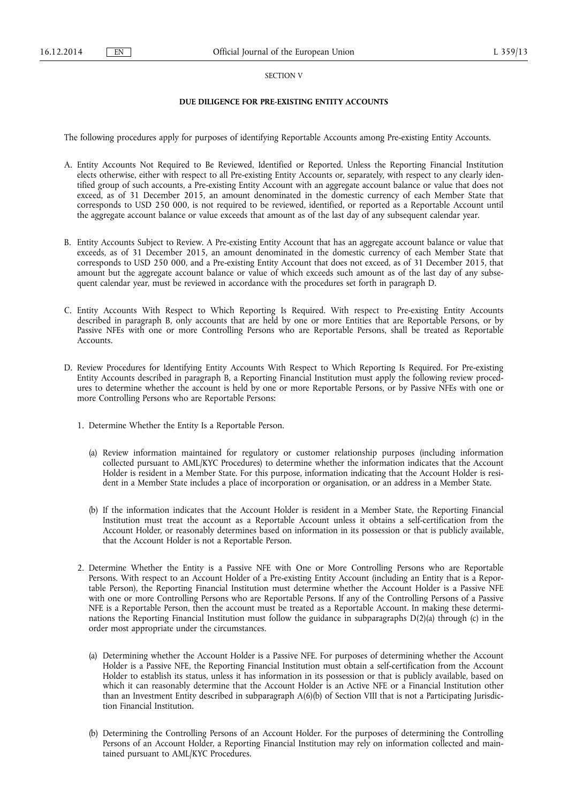#### SECTION V

### **DUE DILIGENCE FOR PRE-EXISTING ENTITY ACCOUNTS**

The following procedures apply for purposes of identifying Reportable Accounts among Pre-existing Entity Accounts.

- A. Entity Accounts Not Required to Be Reviewed, Identified or Reported. Unless the Reporting Financial Institution elects otherwise, either with respect to all Pre-existing Entity Accounts or, separately, with respect to any clearly identified group of such accounts, a Pre-existing Entity Account with an aggregate account balance or value that does not exceed, as of 31 December 2015, an amount denominated in the domestic currency of each Member State that corresponds to USD 250 000, is not required to be reviewed, identified, or reported as a Reportable Account until the aggregate account balance or value exceeds that amount as of the last day of any subsequent calendar year.
- B. Entity Accounts Subject to Review. A Pre-existing Entity Account that has an aggregate account balance or value that exceeds, as of 31 December 2015, an amount denominated in the domestic currency of each Member State that corresponds to USD 250 000, and a Pre-existing Entity Account that does not exceed, as of 31 December 2015, that amount but the aggregate account balance or value of which exceeds such amount as of the last day of any subsequent calendar year, must be reviewed in accordance with the procedures set forth in paragraph D.
- C. Entity Accounts With Respect to Which Reporting Is Required. With respect to Pre-existing Entity Accounts described in paragraph B, only accounts that are held by one or more Entities that are Reportable Persons, or by Passive NFEs with one or more Controlling Persons who are Reportable Persons, shall be treated as Reportable Accounts.
- D. Review Procedures for Identifying Entity Accounts With Respect to Which Reporting Is Required. For Pre-existing Entity Accounts described in paragraph B, a Reporting Financial Institution must apply the following review procedures to determine whether the account is held by one or more Reportable Persons, or by Passive NFEs with one or more Controlling Persons who are Reportable Persons:
	- 1. Determine Whether the Entity Is a Reportable Person.
		- (a) Review information maintained for regulatory or customer relationship purposes (including information collected pursuant to AML/KYC Procedures) to determine whether the information indicates that the Account Holder is resident in a Member State. For this purpose, information indicating that the Account Holder is resident in a Member State includes a place of incorporation or organisation, or an address in a Member State.
		- (b) If the information indicates that the Account Holder is resident in a Member State, the Reporting Financial Institution must treat the account as a Reportable Account unless it obtains a self-certification from the Account Holder, or reasonably determines based on information in its possession or that is publicly available, that the Account Holder is not a Reportable Person.
	- 2. Determine Whether the Entity is a Passive NFE with One or More Controlling Persons who are Reportable Persons. With respect to an Account Holder of a Pre-existing Entity Account (including an Entity that is a Reportable Person), the Reporting Financial Institution must determine whether the Account Holder is a Passive NFE with one or more Controlling Persons who are Reportable Persons. If any of the Controlling Persons of a Passive NFE is a Reportable Person, then the account must be treated as a Reportable Account. In making these determinations the Reporting Financial Institution must follow the guidance in subparagraphs D(2)(a) through (c) in the order most appropriate under the circumstances.
		- (a) Determining whether the Account Holder is a Passive NFE. For purposes of determining whether the Account Holder is a Passive NFE, the Reporting Financial Institution must obtain a self-certification from the Account Holder to establish its status, unless it has information in its possession or that is publicly available, based on which it can reasonably determine that the Account Holder is an Active NFE or a Financial Institution other than an Investment Entity described in subparagraph A(6)(b) of Section VIII that is not a Participating Jurisdiction Financial Institution.
		- (b) Determining the Controlling Persons of an Account Holder. For the purposes of determining the Controlling Persons of an Account Holder, a Reporting Financial Institution may rely on information collected and maintained pursuant to AML/KYC Procedures.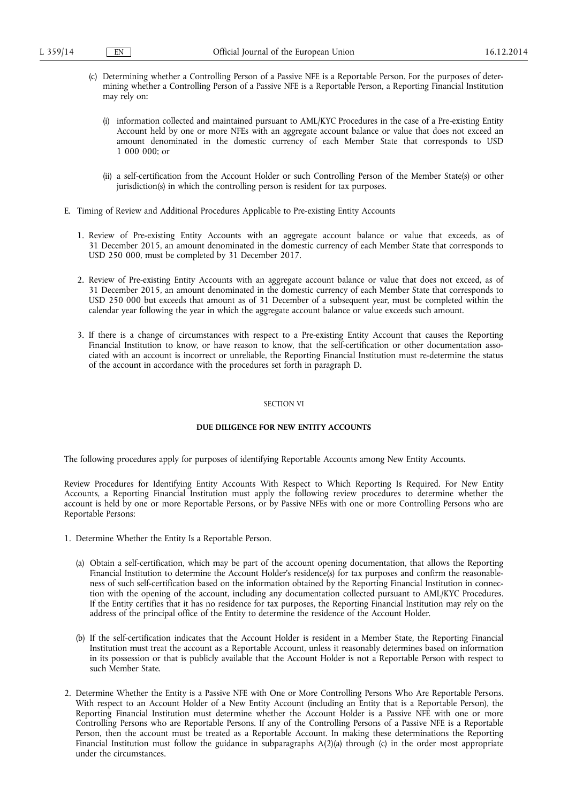- (c) Determining whether a Controlling Person of a Passive NFE is a Reportable Person. For the purposes of determining whether a Controlling Person of a Passive NFE is a Reportable Person, a Reporting Financial Institution may rely on:
	- (i) information collected and maintained pursuant to AML/KYC Procedures in the case of a Pre-existing Entity Account held by one or more NFEs with an aggregate account balance or value that does not exceed an amount denominated in the domestic currency of each Member State that corresponds to USD 1 000 000; or
	- (ii) a self-certification from the Account Holder or such Controlling Person of the Member State(s) or other jurisdiction(s) in which the controlling person is resident for tax purposes.
- E. Timing of Review and Additional Procedures Applicable to Pre-existing Entity Accounts
	- 1. Review of Pre-existing Entity Accounts with an aggregate account balance or value that exceeds, as of 31 December 2015, an amount denominated in the domestic currency of each Member State that corresponds to USD 250 000, must be completed by 31 December 2017.
	- 2. Review of Pre-existing Entity Accounts with an aggregate account balance or value that does not exceed, as of 31 December 2015, an amount denominated in the domestic currency of each Member State that corresponds to USD 250 000 but exceeds that amount as of 31 December of a subsequent year, must be completed within the calendar year following the year in which the aggregate account balance or value exceeds such amount.
	- 3. If there is a change of circumstances with respect to a Pre-existing Entity Account that causes the Reporting Financial Institution to know, or have reason to know, that the self-certification or other documentation associated with an account is incorrect or unreliable, the Reporting Financial Institution must re-determine the status of the account in accordance with the procedures set forth in paragraph D.

## SECTION VI

## **DUE DILIGENCE FOR NEW ENTITY ACCOUNTS**

The following procedures apply for purposes of identifying Reportable Accounts among New Entity Accounts.

Review Procedures for Identifying Entity Accounts With Respect to Which Reporting Is Required. For New Entity Accounts, a Reporting Financial Institution must apply the following review procedures to determine whether the account is held by one or more Reportable Persons, or by Passive NFEs with one or more Controlling Persons who are Reportable Persons:

- 1. Determine Whether the Entity Is a Reportable Person.
	- (a) Obtain a self-certification, which may be part of the account opening documentation, that allows the Reporting Financial Institution to determine the Account Holder's residence(s) for tax purposes and confirm the reasonableness of such self-certification based on the information obtained by the Reporting Financial Institution in connection with the opening of the account, including any documentation collected pursuant to AML/KYC Procedures. If the Entity certifies that it has no residence for tax purposes, the Reporting Financial Institution may rely on the address of the principal office of the Entity to determine the residence of the Account Holder.
	- (b) If the self-certification indicates that the Account Holder is resident in a Member State, the Reporting Financial Institution must treat the account as a Reportable Account, unless it reasonably determines based on information in its possession or that is publicly available that the Account Holder is not a Reportable Person with respect to such Member State.
- 2. Determine Whether the Entity is a Passive NFE with One or More Controlling Persons Who Are Reportable Persons. With respect to an Account Holder of a New Entity Account (including an Entity that is a Reportable Person), the Reporting Financial Institution must determine whether the Account Holder is a Passive NFE with one or more Controlling Persons who are Reportable Persons. If any of the Controlling Persons of a Passive NFE is a Reportable Person, then the account must be treated as a Reportable Account. In making these determinations the Reporting Financial Institution must follow the guidance in subparagraphs A(2)(a) through (c) in the order most appropriate under the circumstances.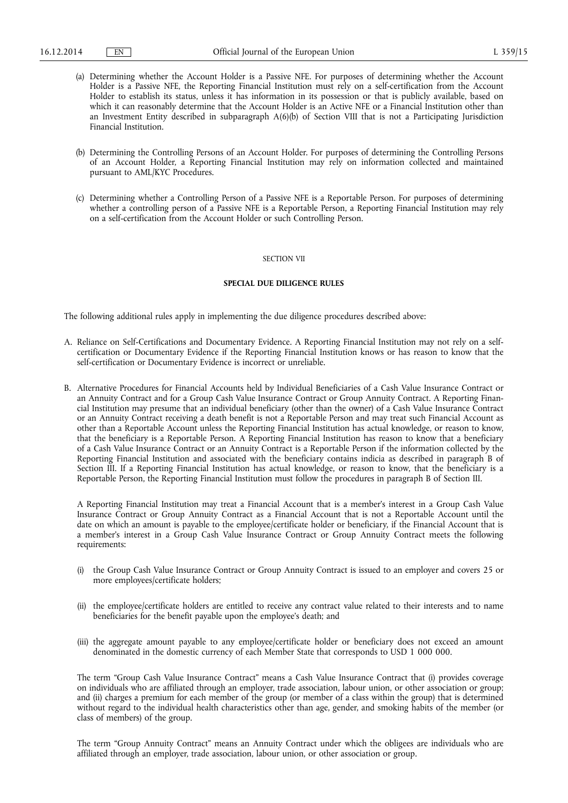- (a) Determining whether the Account Holder is a Passive NFE. For purposes of determining whether the Account Holder is a Passive NFE, the Reporting Financial Institution must rely on a self-certification from the Account Holder to establish its status, unless it has information in its possession or that is publicly available, based on which it can reasonably determine that the Account Holder is an Active NFE or a Financial Institution other than an Investment Entity described in subparagraph  $A(6)(b)$  of Section VIII that is not a Participating Jurisdiction Financial Institution.
- (b) Determining the Controlling Persons of an Account Holder. For purposes of determining the Controlling Persons of an Account Holder, a Reporting Financial Institution may rely on information collected and maintained pursuant to AML/KYC Procedures.
- (c) Determining whether a Controlling Person of a Passive NFE is a Reportable Person. For purposes of determining whether a controlling person of a Passive NFE is a Reportable Person, a Reporting Financial Institution may rely on a self-certification from the Account Holder or such Controlling Person.

#### SECTION VII

#### **SPECIAL DUE DILIGENCE RULES**

The following additional rules apply in implementing the due diligence procedures described above:

- A. Reliance on Self-Certifications and Documentary Evidence. A Reporting Financial Institution may not rely on a selfcertification or Documentary Evidence if the Reporting Financial Institution knows or has reason to know that the self-certification or Documentary Evidence is incorrect or unreliable.
- B. Alternative Procedures for Financial Accounts held by Individual Beneficiaries of a Cash Value Insurance Contract or an Annuity Contract and for a Group Cash Value Insurance Contract or Group Annuity Contract. A Reporting Financial Institution may presume that an individual beneficiary (other than the owner) of a Cash Value Insurance Contract or an Annuity Contract receiving a death benefit is not a Reportable Person and may treat such Financial Account as other than a Reportable Account unless the Reporting Financial Institution has actual knowledge, or reason to know, that the beneficiary is a Reportable Person. A Reporting Financial Institution has reason to know that a beneficiary of a Cash Value Insurance Contract or an Annuity Contract is a Reportable Person if the information collected by the Reporting Financial Institution and associated with the beneficiary contains indicia as described in paragraph B of Section III. If a Reporting Financial Institution has actual knowledge, or reason to know, that the beneficiary is a Reportable Person, the Reporting Financial Institution must follow the procedures in paragraph B of Section III.

A Reporting Financial Institution may treat a Financial Account that is a member's interest in a Group Cash Value Insurance Contract or Group Annuity Contract as a Financial Account that is not a Reportable Account until the date on which an amount is payable to the employee/certificate holder or beneficiary, if the Financial Account that is a member's interest in a Group Cash Value Insurance Contract or Group Annuity Contract meets the following requirements:

- (i) the Group Cash Value Insurance Contract or Group Annuity Contract is issued to an employer and covers 25 or more employees/certificate holders;
- (ii) the employee/certificate holders are entitled to receive any contract value related to their interests and to name beneficiaries for the benefit payable upon the employee's death; and
- (iii) the aggregate amount payable to any employee/certificate holder or beneficiary does not exceed an amount denominated in the domestic currency of each Member State that corresponds to USD 1 000 000.

The term "Group Cash Value Insurance Contract" means a Cash Value Insurance Contract that (i) provides coverage on individuals who are affiliated through an employer, trade association, labour union, or other association or group; and (ii) charges a premium for each member of the group (or member of a class within the group) that is determined without regard to the individual health characteristics other than age, gender, and smoking habits of the member (or class of members) of the group.

The term "Group Annuity Contract" means an Annuity Contract under which the obligees are individuals who are affiliated through an employer, trade association, labour union, or other association or group.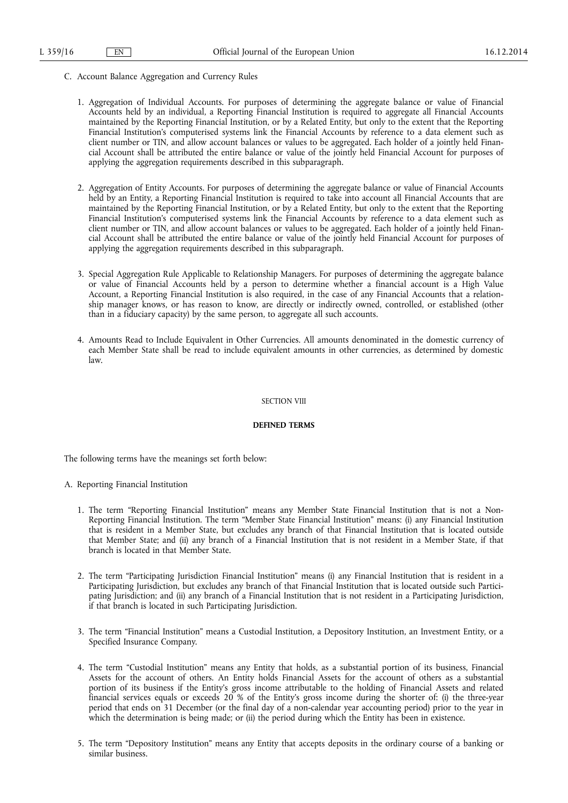- C. Account Balance Aggregation and Currency Rules
	- 1. Aggregation of Individual Accounts. For purposes of determining the aggregate balance or value of Financial Accounts held by an individual, a Reporting Financial Institution is required to aggregate all Financial Accounts maintained by the Reporting Financial Institution, or by a Related Entity, but only to the extent that the Reporting Financial Institution's computerised systems link the Financial Accounts by reference to a data element such as client number or TIN, and allow account balances or values to be aggregated. Each holder of a jointly held Financial Account shall be attributed the entire balance or value of the jointly held Financial Account for purposes of applying the aggregation requirements described in this subparagraph.
	- 2. Aggregation of Entity Accounts. For purposes of determining the aggregate balance or value of Financial Accounts held by an Entity, a Reporting Financial Institution is required to take into account all Financial Accounts that are maintained by the Reporting Financial Institution, or by a Related Entity, but only to the extent that the Reporting Financial Institution's computerised systems link the Financial Accounts by reference to a data element such as client number or TIN, and allow account balances or values to be aggregated. Each holder of a jointly held Financial Account shall be attributed the entire balance or value of the jointly held Financial Account for purposes of applying the aggregation requirements described in this subparagraph.
	- 3. Special Aggregation Rule Applicable to Relationship Managers. For purposes of determining the aggregate balance or value of Financial Accounts held by a person to determine whether a financial account is a High Value Account, a Reporting Financial Institution is also required, in the case of any Financial Accounts that a relationship manager knows, or has reason to know, are directly or indirectly owned, controlled, or established (other than in a fiduciary capacity) by the same person, to aggregate all such accounts.
	- 4. Amounts Read to Include Equivalent in Other Currencies. All amounts denominated in the domestic currency of each Member State shall be read to include equivalent amounts in other currencies, as determined by domestic law.

#### SECTION VIII

#### **DEFINED TERMS**

The following terms have the meanings set forth below:

- A. Reporting Financial Institution
	- 1. The term "Reporting Financial Institution" means any Member State Financial Institution that is not a Non-Reporting Financial Institution. The term "Member State Financial Institution" means: (i) any Financial Institution that is resident in a Member State, but excludes any branch of that Financial Institution that is located outside that Member State; and (ii) any branch of a Financial Institution that is not resident in a Member State, if that branch is located in that Member State.
	- 2. The term "Participating Jurisdiction Financial Institution" means (i) any Financial Institution that is resident in a Participating Jurisdiction, but excludes any branch of that Financial Institution that is located outside such Participating Jurisdiction; and (ii) any branch of a Financial Institution that is not resident in a Participating Jurisdiction, if that branch is located in such Participating Jurisdiction.
	- 3. The term "Financial Institution" means a Custodial Institution, a Depository Institution, an Investment Entity, or a Specified Insurance Company.
	- 4. The term "Custodial Institution" means any Entity that holds, as a substantial portion of its business, Financial Assets for the account of others. An Entity holds Financial Assets for the account of others as a substantial portion of its business if the Entity's gross income attributable to the holding of Financial Assets and related financial services equals or exceeds 20 % of the Entity's gross income during the shorter of: (i) the three-year period that ends on 31 December (or the final day of a non-calendar year accounting period) prior to the year in which the determination is being made; or (ii) the period during which the Entity has been in existence.
	- 5. The term "Depository Institution" means any Entity that accepts deposits in the ordinary course of a banking or similar business.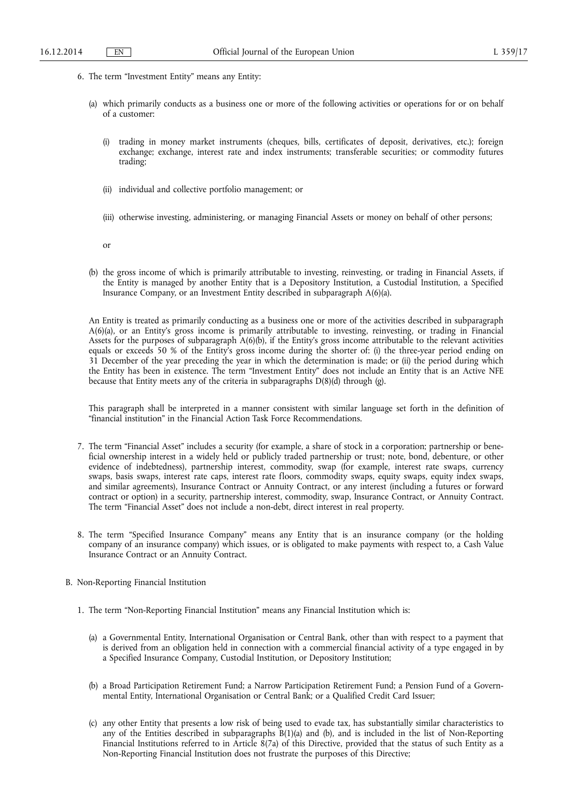- 6. The term "Investment Entity" means any Entity:
	- (a) which primarily conducts as a business one or more of the following activities or operations for or on behalf of a customer:
		- (i) trading in money market instruments (cheques, bills, certificates of deposit, derivatives, etc.); foreign exchange; exchange, interest rate and index instruments; transferable securities; or commodity futures trading;
		- (ii) individual and collective portfolio management; or
		- (iii) otherwise investing, administering, or managing Financial Assets or money on behalf of other persons;
		- or
	- (b) the gross income of which is primarily attributable to investing, reinvesting, or trading in Financial Assets, if the Entity is managed by another Entity that is a Depository Institution, a Custodial Institution, a Specified Insurance Company, or an Investment Entity described in subparagraph A(6)(a).

An Entity is treated as primarily conducting as a business one or more of the activities described in subparagraph  $A(6)(a)$ , or an Entity's gross income is primarily attributable to investing, reinvesting, or trading in Financial Assets for the purposes of subparagraph A(6)(b), if the Entity's gross income attributable to the relevant activities equals or exceeds 50 % of the Entity's gross income during the shorter of: (i) the three-year period ending on 31 December of the year preceding the year in which the determination is made; or (ii) the period during which the Entity has been in existence. The term "Investment Entity" does not include an Entity that is an Active NFE because that Entity meets any of the criteria in subparagraphs  $D(8)(d)$  through (g).

This paragraph shall be interpreted in a manner consistent with similar language set forth in the definition of "financial institution" in the Financial Action Task Force Recommendations.

- 7. The term "Financial Asset" includes a security (for example, a share of stock in a corporation; partnership or beneficial ownership interest in a widely held or publicly traded partnership or trust; note, bond, debenture, or other evidence of indebtedness), partnership interest, commodity, swap (for example, interest rate swaps, currency swaps, basis swaps, interest rate caps, interest rate floors, commodity swaps, equity swaps, equity index swaps, and similar agreements), Insurance Contract or Annuity Contract, or any interest (including a futures or forward contract or option) in a security, partnership interest, commodity, swap, Insurance Contract, or Annuity Contract. The term "Financial Asset" does not include a non-debt, direct interest in real property.
- 8. The term "Specified Insurance Company" means any Entity that is an insurance company (or the holding company of an insurance company) which issues, or is obligated to make payments with respect to, a Cash Value Insurance Contract or an Annuity Contract.
- B. Non-Reporting Financial Institution
	- 1. The term "Non-Reporting Financial Institution" means any Financial Institution which is:
		- (a) a Governmental Entity, International Organisation or Central Bank, other than with respect to a payment that is derived from an obligation held in connection with a commercial financial activity of a type engaged in by a Specified Insurance Company, Custodial Institution, or Depository Institution;
		- (b) a Broad Participation Retirement Fund; a Narrow Participation Retirement Fund; a Pension Fund of a Governmental Entity, International Organisation or Central Bank; or a Qualified Credit Card Issuer;
		- (c) any other Entity that presents a low risk of being used to evade tax, has substantially similar characteristics to any of the Entities described in subparagraphs B(1)(a) and (b), and is included in the list of Non-Reporting Financial Institutions referred to in Article 8(7a) of this Directive, provided that the status of such Entity as a Non-Reporting Financial Institution does not frustrate the purposes of this Directive;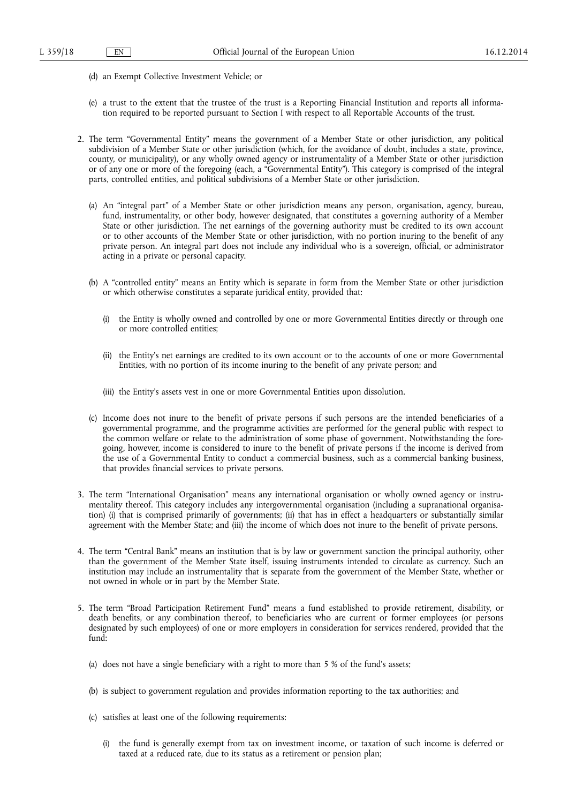- (d) an Exempt Collective Investment Vehicle; or
- (e) a trust to the extent that the trustee of the trust is a Reporting Financial Institution and reports all information required to be reported pursuant to Section I with respect to all Reportable Accounts of the trust.
- 2. The term "Governmental Entity" means the government of a Member State or other jurisdiction, any political subdivision of a Member State or other jurisdiction (which, for the avoidance of doubt, includes a state, province, county, or municipality), or any wholly owned agency or instrumentality of a Member State or other jurisdiction or of any one or more of the foregoing (each, a "Governmental Entity"). This category is comprised of the integral parts, controlled entities, and political subdivisions of a Member State or other jurisdiction.
	- (a) An "integral part" of a Member State or other jurisdiction means any person, organisation, agency, bureau, fund, instrumentality, or other body, however designated, that constitutes a governing authority of a Member State or other jurisdiction. The net earnings of the governing authority must be credited to its own account or to other accounts of the Member State or other jurisdiction, with no portion inuring to the benefit of any private person. An integral part does not include any individual who is a sovereign, official, or administrator acting in a private or personal capacity.
	- (b) A "controlled entity" means an Entity which is separate in form from the Member State or other jurisdiction or which otherwise constitutes a separate juridical entity, provided that:
		- (i) the Entity is wholly owned and controlled by one or more Governmental Entities directly or through one or more controlled entities;
		- (ii) the Entity's net earnings are credited to its own account or to the accounts of one or more Governmental Entities, with no portion of its income inuring to the benefit of any private person; and
		- (iii) the Entity's assets vest in one or more Governmental Entities upon dissolution.
	- (c) Income does not inure to the benefit of private persons if such persons are the intended beneficiaries of a governmental programme, and the programme activities are performed for the general public with respect to the common welfare or relate to the administration of some phase of government. Notwithstanding the foregoing, however, income is considered to inure to the benefit of private persons if the income is derived from the use of a Governmental Entity to conduct a commercial business, such as a commercial banking business, that provides financial services to private persons.
- 3. The term "International Organisation" means any international organisation or wholly owned agency or instrumentality thereof. This category includes any intergovernmental organisation (including a supranational organisation) (i) that is comprised primarily of governments; (ii) that has in effect a headquarters or substantially similar agreement with the Member State; and (iii) the income of which does not inure to the benefit of private persons.
- 4. The term "Central Bank" means an institution that is by law or government sanction the principal authority, other than the government of the Member State itself, issuing instruments intended to circulate as currency. Such an institution may include an instrumentality that is separate from the government of the Member State, whether or not owned in whole or in part by the Member State.
- 5. The term "Broad Participation Retirement Fund" means a fund established to provide retirement, disability, or death benefits, or any combination thereof, to beneficiaries who are current or former employees (or persons designated by such employees) of one or more employers in consideration for services rendered, provided that the fund:
	- (a) does not have a single beneficiary with a right to more than 5 % of the fund's assets;
	- (b) is subject to government regulation and provides information reporting to the tax authorities; and
	- (c) satisfies at least one of the following requirements:
		- (i) the fund is generally exempt from tax on investment income, or taxation of such income is deferred or taxed at a reduced rate, due to its status as a retirement or pension plan;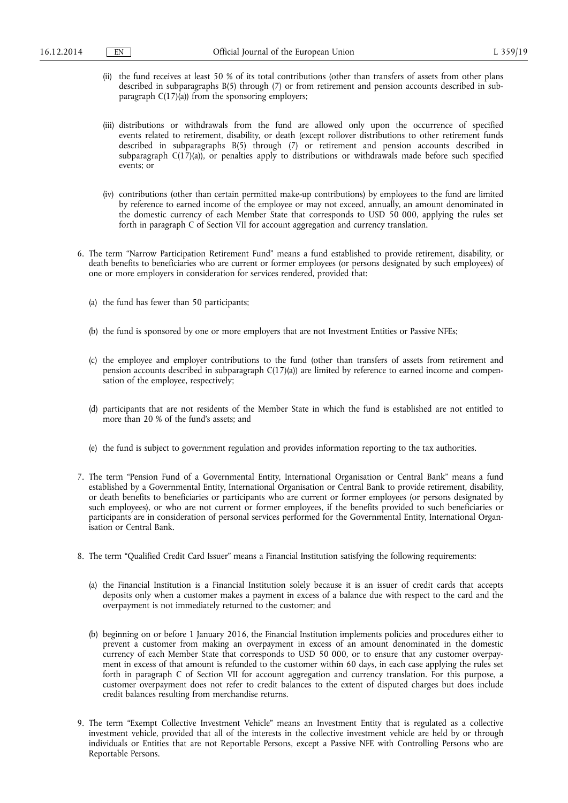- (ii) the fund receives at least 50 % of its total contributions (other than transfers of assets from other plans described in subparagraphs B(5) through (7) or from retirement and pension accounts described in subparagraph  $C(17)(a)$ ) from the sponsoring employers;
- (iii) distributions or withdrawals from the fund are allowed only upon the occurrence of specified events related to retirement, disability, or death (except rollover distributions to other retirement funds described in subparagraphs B(5) through (7) or retirement and pension accounts described in subparagraph  $C(17)(a)$ , or penalties apply to distributions or withdrawals made before such specified events; or
- (iv) contributions (other than certain permitted make-up contributions) by employees to the fund are limited by reference to earned income of the employee or may not exceed, annually, an amount denominated in the domestic currency of each Member State that corresponds to USD 50 000, applying the rules set forth in paragraph C of Section VII for account aggregation and currency translation.
- 6. The term "Narrow Participation Retirement Fund" means a fund established to provide retirement, disability, or death benefits to beneficiaries who are current or former employees (or persons designated by such employees) of one or more employers in consideration for services rendered, provided that:
	- (a) the fund has fewer than 50 participants;
	- (b) the fund is sponsored by one or more employers that are not Investment Entities or Passive NFEs;
	- (c) the employee and employer contributions to the fund (other than transfers of assets from retirement and pension accounts described in subparagraph C(17)(a)) are limited by reference to earned income and compensation of the employee, respectively;
	- (d) participants that are not residents of the Member State in which the fund is established are not entitled to more than 20 % of the fund's assets; and
	- (e) the fund is subject to government regulation and provides information reporting to the tax authorities.
- 7. The term "Pension Fund of a Governmental Entity, International Organisation or Central Bank" means a fund established by a Governmental Entity, International Organisation or Central Bank to provide retirement, disability, or death benefits to beneficiaries or participants who are current or former employees (or persons designated by such employees), or who are not current or former employees, if the benefits provided to such beneficiaries or participants are in consideration of personal services performed for the Governmental Entity, International Organisation or Central Bank.
- 8. The term "Qualified Credit Card Issuer" means a Financial Institution satisfying the following requirements:
	- (a) the Financial Institution is a Financial Institution solely because it is an issuer of credit cards that accepts deposits only when a customer makes a payment in excess of a balance due with respect to the card and the overpayment is not immediately returned to the customer; and
	- (b) beginning on or before 1 January 2016, the Financial Institution implements policies and procedures either to prevent a customer from making an overpayment in excess of an amount denominated in the domestic currency of each Member State that corresponds to USD 50 000, or to ensure that any customer overpayment in excess of that amount is refunded to the customer within 60 days, in each case applying the rules set forth in paragraph C of Section VII for account aggregation and currency translation. For this purpose, a customer overpayment does not refer to credit balances to the extent of disputed charges but does include credit balances resulting from merchandise returns.
- 9. The term "Exempt Collective Investment Vehicle" means an Investment Entity that is regulated as a collective investment vehicle, provided that all of the interests in the collective investment vehicle are held by or through individuals or Entities that are not Reportable Persons, except a Passive NFE with Controlling Persons who are Reportable Persons.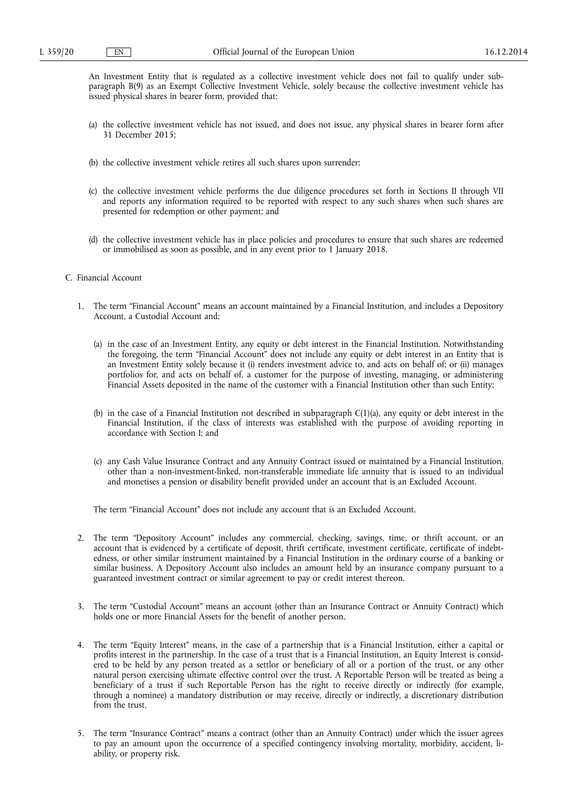An Investment Entity that is regulated as a collective investment vehicle does not fail to qualify under subparagraph B(9) as an Exempt Collective Investment Vehicle, solely because the collective investment vehicle has issued physical shares in bearer form, provided that:

- (a) the collective investment vehicle has not issued, and does not issue, any physical shares in bearer form after 31 December 2015;
- (b) the collective investment vehicle retires all such shares upon surrender;
- (c) the collective investment vehicle performs the due diligence procedures set forth in Sections II through VII and reports any information required to be reported with respect to any such shares when such shares are presented for redemption or other payment; and
- (d) the collective investment vehicle has in place policies and procedures to ensure that such shares are redeemed or immobilised as soon as possible, and in any event prior to 1 January 2018.

#### C. Financial Account

- 1. The term "Financial Account" means an account maintained by a Financial Institution, and includes a Depository Account, a Custodial Account and:
	- (a) in the case of an Investment Entity, any equity or debt interest in the Financial Institution. Notwithstanding the foregoing, the term "Financial Account" does not include any equity or debt interest in an Entity that is an Investment Entity solely because it (i) renders investment advice to, and acts on behalf of; or (ii) manages portfolios for, and acts on behalf of, a customer for the purpose of investing, managing, or administering Financial Assets deposited in the name of the customer with a Financial Institution other than such Entity;
	- (b) in the case of a Financial Institution not described in subparagraph C(1)(a), any equity or debt interest in the Financial Institution, if the class of interests was established with the purpose of avoiding reporting in accordance with Section I; and
	- (c) any Cash Value Insurance Contract and any Annuity Contract issued or maintained by a Financial Institution, other than a non-investment-linked, non-transferable immediate life annuity that is issued to an individual and monetises a pension or disability benefit provided under an account that is an Excluded Account.

The term "Financial Account" does not include any account that is an Excluded Account.

- 2. The term "Depository Account" includes any commercial, checking, savings, time, or thrift account, or an account that is evidenced by a certificate of deposit, thrift certificate, investment certificate, certificate of indebtedness, or other similar instrument maintained by a Financial Institution in the ordinary course of a banking or similar business. A Depository Account also includes an amount held by an insurance company pursuant to a guaranteed investment contract or similar agreement to pay or credit interest thereon.
- 3. The term "Custodial Account" means an account (other than an Insurance Contract or Annuity Contract) which holds one or more Financial Assets for the benefit of another person.
- 4. The term "Equity Interest" means, in the case of a partnership that is a Financial Institution, either a capital or profits interest in the partnership. In the case of a trust that is a Financial Institution, an Equity Interest is considered to be held by any person treated as a settlor or beneficiary of all or a portion of the trust, or any other natural person exercising ultimate effective control over the trust. A Reportable Person will be treated as being a beneficiary of a trust if such Reportable Person has the right to receive directly or indirectly (for example, through a nominee) a mandatory distribution or may receive, directly or indirectly, a discretionary distribution from the trust.
- 5. The term "Insurance Contract" means a contract (other than an Annuity Contract) under which the issuer agrees to pay an amount upon the occurrence of a specified contingency involving mortality, morbidity, accident, liability, or property risk.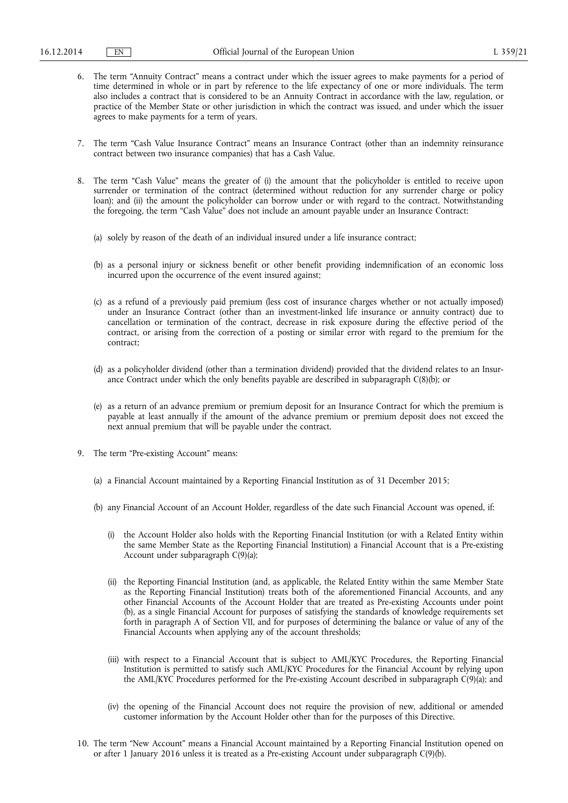- 6. The term "Annuity Contract" means a contract under which the issuer agrees to make payments for a period of time determined in whole or in part by reference to the life expectancy of one or more individuals. The term also includes a contract that is considered to be an Annuity Contract in accordance with the law, regulation, or practice of the Member State or other jurisdiction in which the contract was issued, and under which the issuer agrees to make payments for a term of years.
- 7. The term "Cash Value Insurance Contract" means an Insurance Contract (other than an indemnity reinsurance contract between two insurance companies) that has a Cash Value.
- 8. The term "Cash Value" means the greater of (i) the amount that the policyholder is entitled to receive upon surrender or termination of the contract (determined without reduction for any surrender charge or policy loan); and (ii) the amount the policyholder can borrow under or with regard to the contract. Notwithstanding the foregoing, the term "Cash Value" does not include an amount payable under an Insurance Contract:
	- (a) solely by reason of the death of an individual insured under a life insurance contract;
	- (b) as a personal injury or sickness benefit or other benefit providing indemnification of an economic loss incurred upon the occurrence of the event insured against;
	- (c) as a refund of a previously paid premium (less cost of insurance charges whether or not actually imposed) under an Insurance Contract (other than an investment-linked life insurance or annuity contract) due to cancellation or termination of the contract, decrease in risk exposure during the effective period of the contract, or arising from the correction of a posting or similar error with regard to the premium for the contract;
	- (d) as a policyholder dividend (other than a termination dividend) provided that the dividend relates to an Insurance Contract under which the only benefits payable are described in subparagraph C(8)(b); or
	- (e) as a return of an advance premium or premium deposit for an Insurance Contract for which the premium is payable at least annually if the amount of the advance premium or premium deposit does not exceed the next annual premium that will be payable under the contract.
- 9. The term "Pre-existing Account" means:
	- (a) a Financial Account maintained by a Reporting Financial Institution as of 31 December 2015;
	- (b) any Financial Account of an Account Holder, regardless of the date such Financial Account was opened, if:
		- (i) the Account Holder also holds with the Reporting Financial Institution (or with a Related Entity within the same Member State as the Reporting Financial Institution) a Financial Account that is a Pre-existing Account under subparagraph  $C(9)(a)$ ;
		- (ii) the Reporting Financial Institution (and, as applicable, the Related Entity within the same Member State as the Reporting Financial Institution) treats both of the aforementioned Financial Accounts, and any other Financial Accounts of the Account Holder that are treated as Pre-existing Accounts under point (b), as a single Financial Account for purposes of satisfying the standards of knowledge requirements set forth in paragraph A of Section VII, and for purposes of determining the balance or value of any of the Financial Accounts when applying any of the account thresholds;
		- (iii) with respect to a Financial Account that is subject to AML/KYC Procedures, the Reporting Financial Institution is permitted to satisfy such AML/KYC Procedures for the Financial Account by relying upon the AML/KYC Procedures performed for the Pre-existing Account described in subparagraph C(9)(a); and
		- (iv) the opening of the Financial Account does not require the provision of new, additional or amended customer information by the Account Holder other than for the purposes of this Directive.
- 10. The term "New Account" means a Financial Account maintained by a Reporting Financial Institution opened on or after 1 January 2016 unless it is treated as a Pre-existing Account under subparagraph C(9)(b).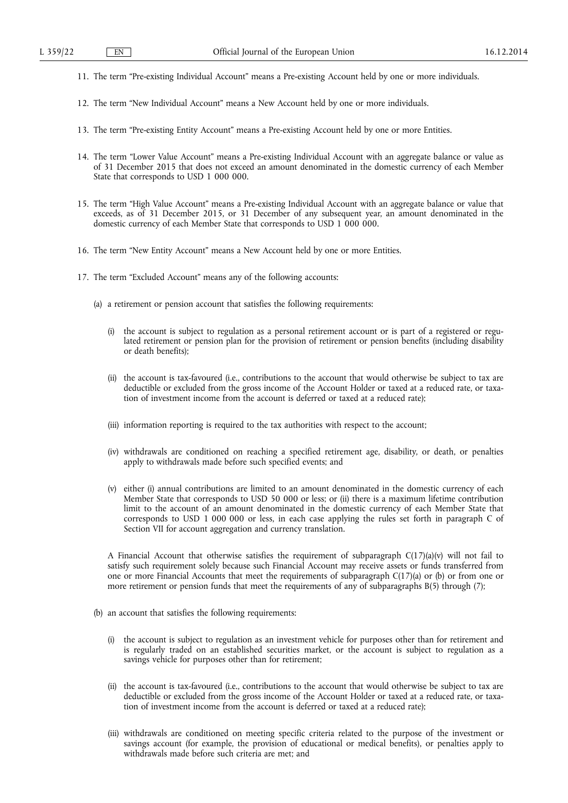- 11. The term "Pre-existing Individual Account" means a Pre-existing Account held by one or more individuals.
- 12. The term "New Individual Account" means a New Account held by one or more individuals.
- 13. The term "Pre-existing Entity Account" means a Pre-existing Account held by one or more Entities.
- 14. The term "Lower Value Account" means a Pre-existing Individual Account with an aggregate balance or value as of 31 December 2015 that does not exceed an amount denominated in the domestic currency of each Member State that corresponds to USD 1 000 000.
- 15. The term "High Value Account" means a Pre-existing Individual Account with an aggregate balance or value that exceeds, as of 31 December 2015, or 31 December of any subsequent year, an amount denominated in the domestic currency of each Member State that corresponds to USD 1 000 000.
- 16. The term "New Entity Account" means a New Account held by one or more Entities.
- 17. The term "Excluded Account" means any of the following accounts:
	- (a) a retirement or pension account that satisfies the following requirements:
		- (i) the account is subject to regulation as a personal retirement account or is part of a registered or regulated retirement or pension plan for the provision of retirement or pension benefits (including disability or death benefits);
		- (ii) the account is tax-favoured (i.e., contributions to the account that would otherwise be subject to tax are deductible or excluded from the gross income of the Account Holder or taxed at a reduced rate, or taxation of investment income from the account is deferred or taxed at a reduced rate);
		- (iii) information reporting is required to the tax authorities with respect to the account;
		- (iv) withdrawals are conditioned on reaching a specified retirement age, disability, or death, or penalties apply to withdrawals made before such specified events; and
		- (v) either (i) annual contributions are limited to an amount denominated in the domestic currency of each Member State that corresponds to USD 50 000 or less; or (ii) there is a maximum lifetime contribution limit to the account of an amount denominated in the domestic currency of each Member State that corresponds to USD 1 000 000 or less, in each case applying the rules set forth in paragraph C of Section VII for account aggregation and currency translation.

A Financial Account that otherwise satisfies the requirement of subparagraph  $C(17)(a)(v)$  will not fail to satisfy such requirement solely because such Financial Account may receive assets or funds transferred from one or more Financial Accounts that meet the requirements of subparagraph C(17)(a) or (b) or from one or more retirement or pension funds that meet the requirements of any of subparagraphs B(5) through (7);

- (b) an account that satisfies the following requirements:
	- (i) the account is subject to regulation as an investment vehicle for purposes other than for retirement and is regularly traded on an established securities market, or the account is subject to regulation as a savings vehicle for purposes other than for retirement;
	- (ii) the account is tax-favoured (i.e., contributions to the account that would otherwise be subject to tax are deductible or excluded from the gross income of the Account Holder or taxed at a reduced rate, or taxation of investment income from the account is deferred or taxed at a reduced rate);
	- (iii) withdrawals are conditioned on meeting specific criteria related to the purpose of the investment or savings account (for example, the provision of educational or medical benefits), or penalties apply to withdrawals made before such criteria are met; and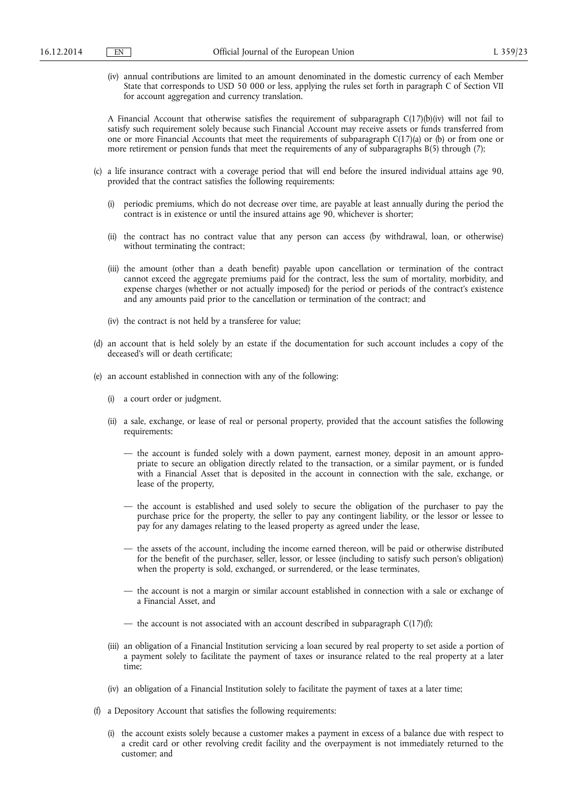(iv) annual contributions are limited to an amount denominated in the domestic currency of each Member State that corresponds to USD 50 000 or less, applying the rules set forth in paragraph C of Section VII for account aggregation and currency translation.

A Financial Account that otherwise satisfies the requirement of subparagraph C(17)(b)(iv) will not fail to satisfy such requirement solely because such Financial Account may receive assets or funds transferred from one or more Financial Accounts that meet the requirements of subparagraph  $C(17)(a)$  or (b) or from one or more retirement or pension funds that meet the requirements of any of subparagraphs B(5) through (7);

- (c) a life insurance contract with a coverage period that will end before the insured individual attains age 90, provided that the contract satisfies the following requirements:
	- (i) periodic premiums, which do not decrease over time, are payable at least annually during the period the contract is in existence or until the insured attains age 90, whichever is shorter;
	- (ii) the contract has no contract value that any person can access (by withdrawal, loan, or otherwise) without terminating the contract;
	- (iii) the amount (other than a death benefit) payable upon cancellation or termination of the contract cannot exceed the aggregate premiums paid for the contract, less the sum of mortality, morbidity, and expense charges (whether or not actually imposed) for the period or periods of the contract's existence and any amounts paid prior to the cancellation or termination of the contract; and
	- (iv) the contract is not held by a transferee for value;
- (d) an account that is held solely by an estate if the documentation for such account includes a copy of the deceased's will or death certificate;
- (e) an account established in connection with any of the following:
	- (i) a court order or judgment.
	- (ii) a sale, exchange, or lease of real or personal property, provided that the account satisfies the following requirements:
		- the account is funded solely with a down payment, earnest money, deposit in an amount appropriate to secure an obligation directly related to the transaction, or a similar payment, or is funded with a Financial Asset that is deposited in the account in connection with the sale, exchange, or lease of the property,
		- the account is established and used solely to secure the obligation of the purchaser to pay the purchase price for the property, the seller to pay any contingent liability, or the lessor or lessee to pay for any damages relating to the leased property as agreed under the lease,
		- the assets of the account, including the income earned thereon, will be paid or otherwise distributed for the benefit of the purchaser, seller, lessor, or lessee (including to satisfy such person's obligation) when the property is sold, exchanged, or surrendered, or the lease terminates,
		- the account is not a margin or similar account established in connection with a sale or exchange of a Financial Asset, and
		- the account is not associated with an account described in subparagraph  $C(17)(f)$ ;
	- (iii) an obligation of a Financial Institution servicing a loan secured by real property to set aside a portion of a payment solely to facilitate the payment of taxes or insurance related to the real property at a later time;
	- (iv) an obligation of a Financial Institution solely to facilitate the payment of taxes at a later time;
- (f) a Depository Account that satisfies the following requirements:
	- (i) the account exists solely because a customer makes a payment in excess of a balance due with respect to a credit card or other revolving credit facility and the overpayment is not immediately returned to the customer; and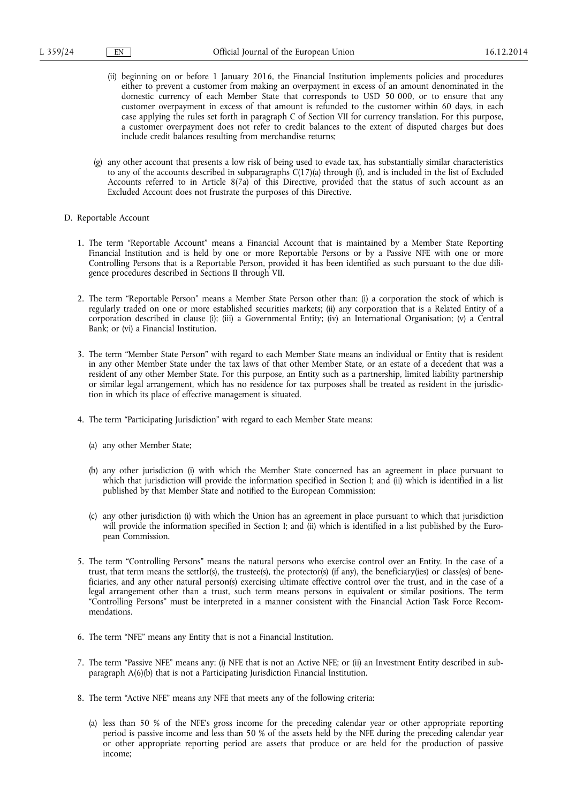- (ii) beginning on or before 1 January 2016, the Financial Institution implements policies and procedures either to prevent a customer from making an overpayment in excess of an amount denominated in the domestic currency of each Member State that corresponds to USD 50 000, or to ensure that any customer overpayment in excess of that amount is refunded to the customer within 60 days, in each case applying the rules set forth in paragraph C of Section VII for currency translation. For this purpose, a customer overpayment does not refer to credit balances to the extent of disputed charges but does include credit balances resulting from merchandise returns;
- (g) any other account that presents a low risk of being used to evade tax, has substantially similar characteristics to any of the accounts described in subparagraphs  $C(17)(a)$  through (f), and is included in the list of Excluded Accounts referred to in Article 8(7a) of this Directive, provided that the status of such account as an Excluded Account does not frustrate the purposes of this Directive.
- D. Reportable Account
	- 1. The term "Reportable Account" means a Financial Account that is maintained by a Member State Reporting Financial Institution and is held by one or more Reportable Persons or by a Passive NFE with one or more Controlling Persons that is a Reportable Person, provided it has been identified as such pursuant to the due diligence procedures described in Sections II through VII.
	- 2. The term "Reportable Person" means a Member State Person other than: (i) a corporation the stock of which is regularly traded on one or more established securities markets; (ii) any corporation that is a Related Entity of a corporation described in clause (i); (iii) a Governmental Entity; (iv) an International Organisation; (v) a Central Bank; or (vi) a Financial Institution.
	- 3. The term "Member State Person" with regard to each Member State means an individual or Entity that is resident in any other Member State under the tax laws of that other Member State, or an estate of a decedent that was a resident of any other Member State. For this purpose, an Entity such as a partnership, limited liability partnership or similar legal arrangement, which has no residence for tax purposes shall be treated as resident in the jurisdiction in which its place of effective management is situated.
	- 4. The term "Participating Jurisdiction" with regard to each Member State means:
		- (a) any other Member State;
		- (b) any other jurisdiction (i) with which the Member State concerned has an agreement in place pursuant to which that jurisdiction will provide the information specified in Section I; and (ii) which is identified in a list published by that Member State and notified to the European Commission;
		- (c) any other jurisdiction (i) with which the Union has an agreement in place pursuant to which that jurisdiction will provide the information specified in Section I; and (ii) which is identified in a list published by the European Commission.
	- 5. The term "Controlling Persons" means the natural persons who exercise control over an Entity. In the case of a trust, that term means the settlor(s), the trustee(s), the protector(s) (if any), the beneficiary(ies) or class(es) of beneficiaries, and any other natural person(s) exercising ultimate effective control over the trust, and in the case of a legal arrangement other than a trust, such term means persons in equivalent or similar positions. The term "Controlling Persons" must be interpreted in a manner consistent with the Financial Action Task Force Recommendations.
	- 6. The term "NFE" means any Entity that is not a Financial Institution.
	- 7. The term "Passive NFE" means any: (i) NFE that is not an Active NFE; or (ii) an Investment Entity described in subparagraph A(6)(b) that is not a Participating Jurisdiction Financial Institution.
	- 8. The term "Active NFE" means any NFE that meets any of the following criteria:
		- (a) less than 50 % of the NFE's gross income for the preceding calendar year or other appropriate reporting period is passive income and less than 50 % of the assets held by the NFE during the preceding calendar year or other appropriate reporting period are assets that produce or are held for the production of passive income;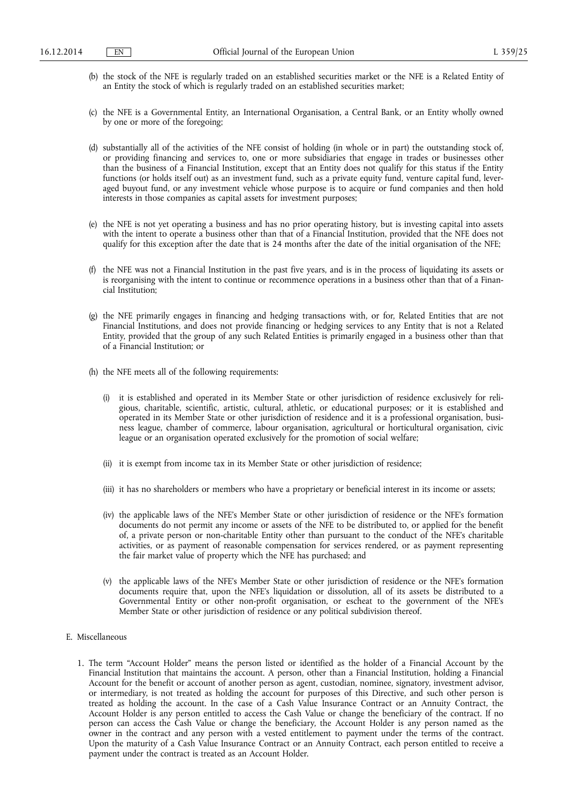- (b) the stock of the NFE is regularly traded on an established securities market or the NFE is a Related Entity of an Entity the stock of which is regularly traded on an established securities market;
- (c) the NFE is a Governmental Entity, an International Organisation, a Central Bank, or an Entity wholly owned by one or more of the foregoing;
- (d) substantially all of the activities of the NFE consist of holding (in whole or in part) the outstanding stock of, or providing financing and services to, one or more subsidiaries that engage in trades or businesses other than the business of a Financial Institution, except that an Entity does not qualify for this status if the Entity functions (or holds itself out) as an investment fund, such as a private equity fund, venture capital fund, leveraged buyout fund, or any investment vehicle whose purpose is to acquire or fund companies and then hold interests in those companies as capital assets for investment purposes;
- (e) the NFE is not yet operating a business and has no prior operating history, but is investing capital into assets with the intent to operate a business other than that of a Financial Institution, provided that the NFE does not qualify for this exception after the date that is 24 months after the date of the initial organisation of the NFE;
- (f) the NFE was not a Financial Institution in the past five years, and is in the process of liquidating its assets or is reorganising with the intent to continue or recommence operations in a business other than that of a Financial Institution;
- (g) the NFE primarily engages in financing and hedging transactions with, or for, Related Entities that are not Financial Institutions, and does not provide financing or hedging services to any Entity that is not a Related Entity, provided that the group of any such Related Entities is primarily engaged in a business other than that of a Financial Institution; or
- (h) the NFE meets all of the following requirements:
	- (i) it is established and operated in its Member State or other jurisdiction of residence exclusively for religious, charitable, scientific, artistic, cultural, athletic, or educational purposes; or it is established and operated in its Member State or other jurisdiction of residence and it is a professional organisation, business league, chamber of commerce, labour organisation, agricultural or horticultural organisation, civic league or an organisation operated exclusively for the promotion of social welfare;
	- (ii) it is exempt from income tax in its Member State or other jurisdiction of residence;
	- (iii) it has no shareholders or members who have a proprietary or beneficial interest in its income or assets;
	- (iv) the applicable laws of the NFE's Member State or other jurisdiction of residence or the NFE's formation documents do not permit any income or assets of the NFE to be distributed to, or applied for the benefit of, a private person or non-charitable Entity other than pursuant to the conduct of the NFE's charitable activities, or as payment of reasonable compensation for services rendered, or as payment representing the fair market value of property which the NFE has purchased; and
	- (v) the applicable laws of the NFE's Member State or other jurisdiction of residence or the NFE's formation documents require that, upon the NFE's liquidation or dissolution, all of its assets be distributed to a Governmental Entity or other non-profit organisation, or escheat to the government of the NFE's Member State or other jurisdiction of residence or any political subdivision thereof.

# E. Miscellaneous

1. The term "Account Holder" means the person listed or identified as the holder of a Financial Account by the Financial Institution that maintains the account. A person, other than a Financial Institution, holding a Financial Account for the benefit or account of another person as agent, custodian, nominee, signatory, investment advisor, or intermediary, is not treated as holding the account for purposes of this Directive, and such other person is treated as holding the account. In the case of a Cash Value Insurance Contract or an Annuity Contract, the Account Holder is any person entitled to access the Cash Value or change the beneficiary of the contract. If no person can access the Cash Value or change the beneficiary, the Account Holder is any person named as the owner in the contract and any person with a vested entitlement to payment under the terms of the contract. Upon the maturity of a Cash Value Insurance Contract or an Annuity Contract, each person entitled to receive a payment under the contract is treated as an Account Holder.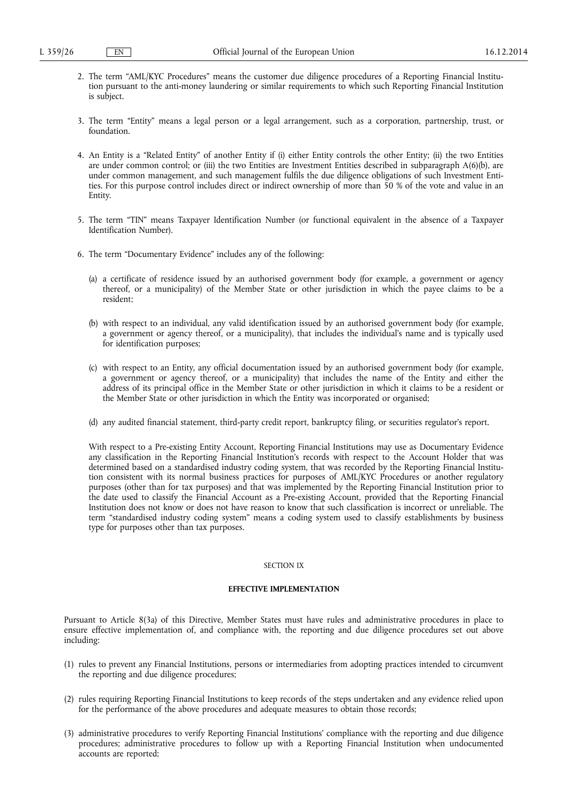- 2. The term "AML/KYC Procedures" means the customer due diligence procedures of a Reporting Financial Institution pursuant to the anti-money laundering or similar requirements to which such Reporting Financial Institution is subject.
- 3. The term "Entity" means a legal person or a legal arrangement, such as a corporation, partnership, trust, or foundation.
- 4. An Entity is a "Related Entity" of another Entity if (i) either Entity controls the other Entity; (ii) the two Entities are under common control; or (iii) the two Entities are Investment Entities described in subparagraph  $A(6)(b)$ , are under common management, and such management fulfils the due diligence obligations of such Investment Entities. For this purpose control includes direct or indirect ownership of more than 50 % of the vote and value in an Entity.
- 5. The term "TIN" means Taxpayer Identification Number (or functional equivalent in the absence of a Taxpayer Identification Number).
- 6. The term "Documentary Evidence" includes any of the following:
	- (a) a certificate of residence issued by an authorised government body (for example, a government or agency thereof, or a municipality) of the Member State or other jurisdiction in which the payee claims to be a resident;
	- (b) with respect to an individual, any valid identification issued by an authorised government body (for example, a government or agency thereof, or a municipality), that includes the individual's name and is typically used for identification purposes;
	- (c) with respect to an Entity, any official documentation issued by an authorised government body (for example, a government or agency thereof, or a municipality) that includes the name of the Entity and either the address of its principal office in the Member State or other jurisdiction in which it claims to be a resident or the Member State or other jurisdiction in which the Entity was incorporated or organised;
	- (d) any audited financial statement, third-party credit report, bankruptcy filing, or securities regulator's report.

With respect to a Pre-existing Entity Account, Reporting Financial Institutions may use as Documentary Evidence any classification in the Reporting Financial Institution's records with respect to the Account Holder that was determined based on a standardised industry coding system, that was recorded by the Reporting Financial Institution consistent with its normal business practices for purposes of AML/KYC Procedures or another regulatory purposes (other than for tax purposes) and that was implemented by the Reporting Financial Institution prior to the date used to classify the Financial Account as a Pre-existing Account, provided that the Reporting Financial Institution does not know or does not have reason to know that such classification is incorrect or unreliable. The term "standardised industry coding system" means a coding system used to classify establishments by business type for purposes other than tax purposes.

## SECTION IX

# **EFFECTIVE IMPLEMENTATION**

Pursuant to Article 8(3a) of this Directive, Member States must have rules and administrative procedures in place to ensure effective implementation of, and compliance with, the reporting and due diligence procedures set out above including:

- (1) rules to prevent any Financial Institutions, persons or intermediaries from adopting practices intended to circumvent the reporting and due diligence procedures;
- (2) rules requiring Reporting Financial Institutions to keep records of the steps undertaken and any evidence relied upon for the performance of the above procedures and adequate measures to obtain those records;
- (3) administrative procedures to verify Reporting Financial Institutions' compliance with the reporting and due diligence procedures; administrative procedures to follow up with a Reporting Financial Institution when undocumented accounts are reported;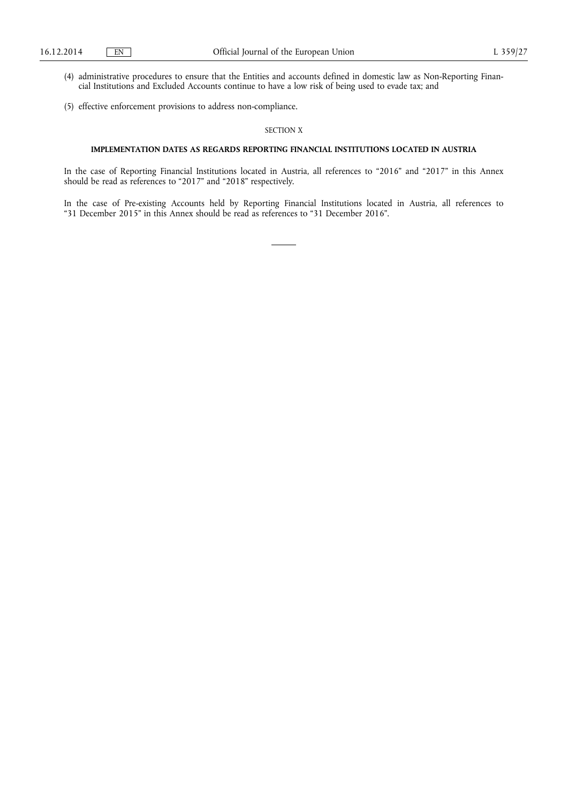- (4) administrative procedures to ensure that the Entities and accounts defined in domestic law as Non-Reporting Financial Institutions and Excluded Accounts continue to have a low risk of being used to evade tax; and
- (5) effective enforcement provisions to address non-compliance.

#### SECTION X

#### **IMPLEMENTATION DATES AS REGARDS REPORTING FINANCIAL INSTITUTIONS LOCATED IN AUSTRIA**

In the case of Reporting Financial Institutions located in Austria, all references to "2016" and "2017" in this Annex should be read as references to "2017" and "2018" respectively.

In the case of Pre-existing Accounts held by Reporting Financial Institutions located in Austria, all references to "31 December 2015" in this Annex should be read as references to "31 December 2016".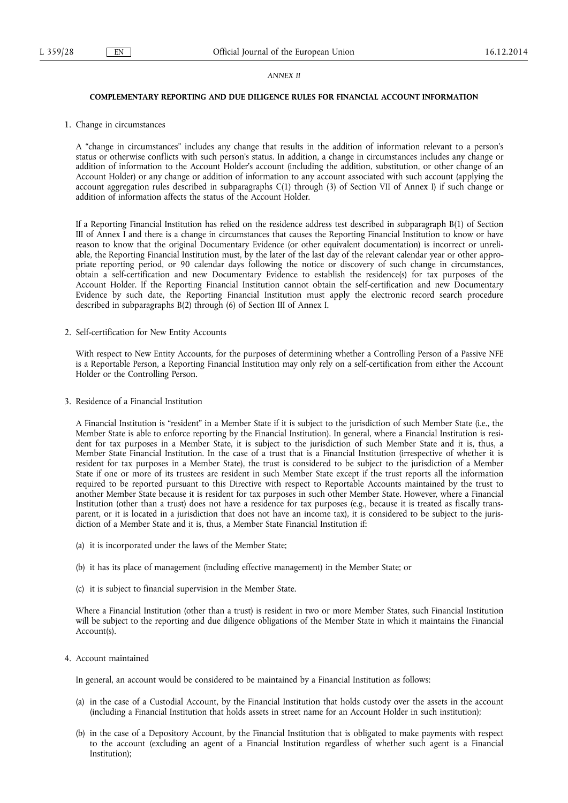#### *ANNEX II*

# **COMPLEMENTARY REPORTING AND DUE DILIGENCE RULES FOR FINANCIAL ACCOUNT INFORMATION**

1. Change in circumstances

A "change in circumstances" includes any change that results in the addition of information relevant to a person's status or otherwise conflicts with such person's status. In addition, a change in circumstances includes any change or addition of information to the Account Holder's account (including the addition, substitution, or other change of an Account Holder) or any change or addition of information to any account associated with such account (applying the account aggregation rules described in subparagraphs C(1) through (3) of Section VII of Annex I) if such change or addition of information affects the status of the Account Holder.

If a Reporting Financial Institution has relied on the residence address test described in subparagraph B(1) of Section III of Annex I and there is a change in circumstances that causes the Reporting Financial Institution to know or have reason to know that the original Documentary Evidence (or other equivalent documentation) is incorrect or unreliable, the Reporting Financial Institution must, by the later of the last day of the relevant calendar year or other appropriate reporting period, or 90 calendar days following the notice or discovery of such change in circumstances, obtain a self-certification and new Documentary Evidence to establish the residence(s) for tax purposes of the Account Holder. If the Reporting Financial Institution cannot obtain the self-certification and new Documentary Evidence by such date, the Reporting Financial Institution must apply the electronic record search procedure described in subparagraphs B(2) through (6) of Section III of Annex I.

2. Self-certification for New Entity Accounts

With respect to New Entity Accounts, for the purposes of determining whether a Controlling Person of a Passive NFE is a Reportable Person, a Reporting Financial Institution may only rely on a self-certification from either the Account Holder or the Controlling Person.

3. Residence of a Financial Institution

A Financial Institution is "resident" in a Member State if it is subject to the jurisdiction of such Member State (i.e., the Member State is able to enforce reporting by the Financial Institution). In general, where a Financial Institution is resident for tax purposes in a Member State, it is subject to the jurisdiction of such Member State and it is, thus, a Member State Financial Institution. In the case of a trust that is a Financial Institution (irrespective of whether it is resident for tax purposes in a Member State), the trust is considered to be subject to the jurisdiction of a Member State if one or more of its trustees are resident in such Member State except if the trust reports all the information required to be reported pursuant to this Directive with respect to Reportable Accounts maintained by the trust to another Member State because it is resident for tax purposes in such other Member State. However, where a Financial Institution (other than a trust) does not have a residence for tax purposes (e.g., because it is treated as fiscally transparent, or it is located in a jurisdiction that does not have an income tax), it is considered to be subject to the jurisdiction of a Member State and it is, thus, a Member State Financial Institution if:

- (a) it is incorporated under the laws of the Member State;
- (b) it has its place of management (including effective management) in the Member State; or
- (c) it is subject to financial supervision in the Member State.

Where a Financial Institution (other than a trust) is resident in two or more Member States, such Financial Institution will be subject to the reporting and due diligence obligations of the Member State in which it maintains the Financial Account(s).

4. Account maintained

In general, an account would be considered to be maintained by a Financial Institution as follows:

- (a) in the case of a Custodial Account, by the Financial Institution that holds custody over the assets in the account (including a Financial Institution that holds assets in street name for an Account Holder in such institution);
- (b) in the case of a Depository Account, by the Financial Institution that is obligated to make payments with respect to the account (excluding an agent of a Financial Institution regardless of whether such agent is a Financial Institution);